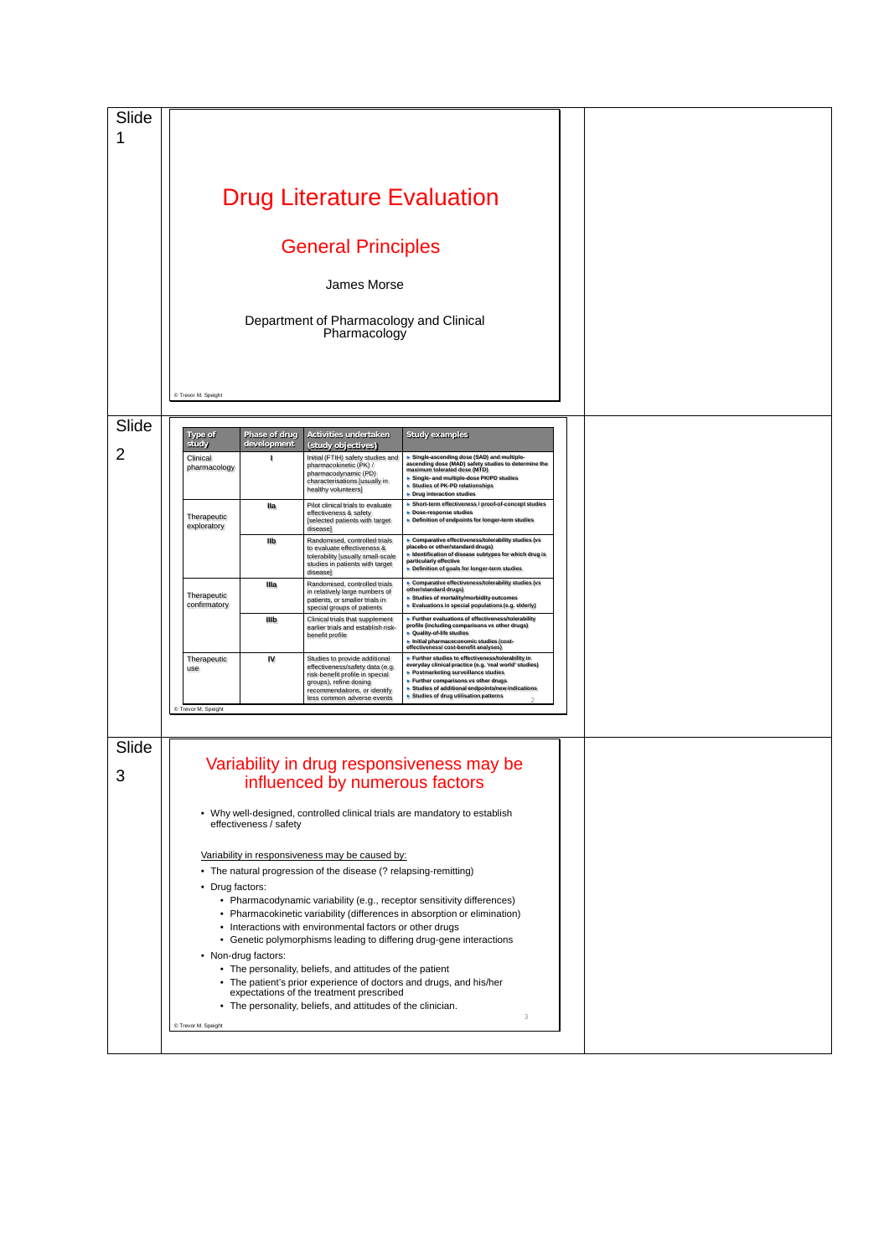| Slide |                            |                        |                                                                                     |                                                                                                                                   |  |
|-------|----------------------------|------------------------|-------------------------------------------------------------------------------------|-----------------------------------------------------------------------------------------------------------------------------------|--|
| 1     |                            |                        |                                                                                     |                                                                                                                                   |  |
|       |                            |                        |                                                                                     |                                                                                                                                   |  |
|       |                            |                        |                                                                                     |                                                                                                                                   |  |
|       |                            |                        | <b>Drug Literature Evaluation</b>                                                   |                                                                                                                                   |  |
|       |                            |                        |                                                                                     |                                                                                                                                   |  |
|       |                            |                        |                                                                                     |                                                                                                                                   |  |
|       |                            |                        | <b>General Principles</b>                                                           |                                                                                                                                   |  |
|       |                            |                        |                                                                                     |                                                                                                                                   |  |
|       |                            |                        | James Morse                                                                         |                                                                                                                                   |  |
|       |                            |                        |                                                                                     |                                                                                                                                   |  |
|       |                            |                        | Department of Pharmacology and Clinical<br>Pharmacology                             |                                                                                                                                   |  |
|       |                            |                        |                                                                                     |                                                                                                                                   |  |
|       |                            |                        |                                                                                     |                                                                                                                                   |  |
|       |                            |                        |                                                                                     |                                                                                                                                   |  |
|       | C Trevor M. Speight        |                        |                                                                                     |                                                                                                                                   |  |
|       |                            |                        |                                                                                     |                                                                                                                                   |  |
| Slide | <b>Type of</b>             | Phase of drug          | Activities undertaken                                                               | <b>Study examples</b>                                                                                                             |  |
| 2     | study                      | development            | (study objectives)                                                                  |                                                                                                                                   |  |
|       | Clinical<br>pharmacology   | ٠                      | Initial (FTIH) safety studies and<br>pharmacokinetic (PK) /<br>pharmacodynamic (PD) | Single-ascending dose (SAD) and multiple-<br>ascending dose (MAD) safety studies to determine the<br>maximum tolerated dose (MTD) |  |
|       |                            |                        | characterisations [usually in<br>healthy volunteers]                                | Single- and multiple-dose PK/PD studies<br>Studies of PK-PD relationships                                                         |  |
|       |                            | lla                    | Pilot clinical trials to evaluate                                                   | Drug interaction studies<br>Short-term effectiveness / proof-of-concept studies                                                   |  |
|       | Therapeutic<br>exploratory |                        | effectiveness & safety<br>[selected patients with target                            | Dose-response studies<br>Definition of endpoints for longer-term studies                                                          |  |
|       |                            | llb                    | disease]<br>Randomised, controlled trials                                           | Comparative effectiveness/tolerability studies (vs                                                                                |  |
|       |                            |                        | to evaluate effectiveness &<br>tolerability [usually small-scale                    | placebo or other/standard drugs)<br>Identification of disease subtypes for which drug is<br>particularly effective                |  |
|       |                            |                        | studies in patients with target<br>disease]                                         | Definition of goals for longer-term studies                                                                                       |  |
|       | Therapeutic                | Illa                   | Randomised, controlled trials<br>in relatively large numbers of                     | Comparative effectiveness/tolerability studies (vs<br>other/standard drugs)<br>▶ Studies of mortality/morbidity outcomes          |  |
|       | confirmatory               |                        | patients, or smaller trials in<br>special groups of patients                        | Evaluations in special populations (e.g. elderly)                                                                                 |  |
|       |                            | Illb                   | Clinical trials that supplement<br>earlier trials and establish risk-               | Further evaluations of effectiveness/tolerability<br>profile (including comparisons vs other drugs)<br>• Quality-of-life studies  |  |
|       |                            |                        | benefit profile                                                                     | Initial pharmaceconomic studies (cost-<br>effectiveness/cost-benefit analyses)                                                    |  |
|       | Therapeutic<br>use         | IV                     | Studies to provide additional<br>effectiveness/safety data (e.g.                    | Further studies to effectiveness/tolerability in<br>everyday clinical practice (e.g. 'real world' studies)                        |  |
|       |                            |                        | risk-benefit profile in special<br>groups), refine dosing                           | ▶ Postmarketing surveillance studies<br>Further comparisons vs other drugs<br>Studies of additional endpoints/new indications     |  |
|       |                            |                        | recommendations, or identify<br>less common adverse events                          | ▶ Studies of drug utilisation patterns                                                                                            |  |
|       | C Trevor M. Speight        |                        |                                                                                     |                                                                                                                                   |  |
|       |                            |                        |                                                                                     |                                                                                                                                   |  |
| Slide |                            |                        |                                                                                     |                                                                                                                                   |  |
| 3     |                            |                        |                                                                                     | Variability in drug responsiveness may be                                                                                         |  |
|       |                            |                        | influenced by numerous factors                                                      |                                                                                                                                   |  |
|       |                            |                        |                                                                                     | • Why well-designed, controlled clinical trials are mandatory to establish                                                        |  |
|       |                            | effectiveness / safety |                                                                                     |                                                                                                                                   |  |
|       |                            |                        |                                                                                     |                                                                                                                                   |  |
|       |                            |                        | Variability in responsiveness may be caused by:                                     |                                                                                                                                   |  |
|       | • Drug factors:            |                        | • The natural progression of the disease (? relapsing-remitting)                    |                                                                                                                                   |  |
|       |                            |                        |                                                                                     | • Pharmacodynamic variability (e.g., receptor sensitivity differences)                                                            |  |
|       |                            |                        |                                                                                     | • Pharmacokinetic variability (differences in absorption or elimination)                                                          |  |
|       |                            |                        | • Interactions with environmental factors or other drugs                            | • Genetic polymorphisms leading to differing drug-gene interactions                                                               |  |
|       |                            | • Non-drug factors:    |                                                                                     |                                                                                                                                   |  |
|       |                            |                        | • The personality, beliefs, and attitudes of the patient                            |                                                                                                                                   |  |
|       |                            |                        | expectations of the treatment prescribed                                            | • The patient's prior experience of doctors and drugs, and his/her                                                                |  |
|       |                            |                        | • The personality, beliefs, and attitudes of the clinician.                         |                                                                                                                                   |  |
|       | C Trevor M. Speight        |                        |                                                                                     | $\,$ $\,$                                                                                                                         |  |
|       |                            |                        |                                                                                     |                                                                                                                                   |  |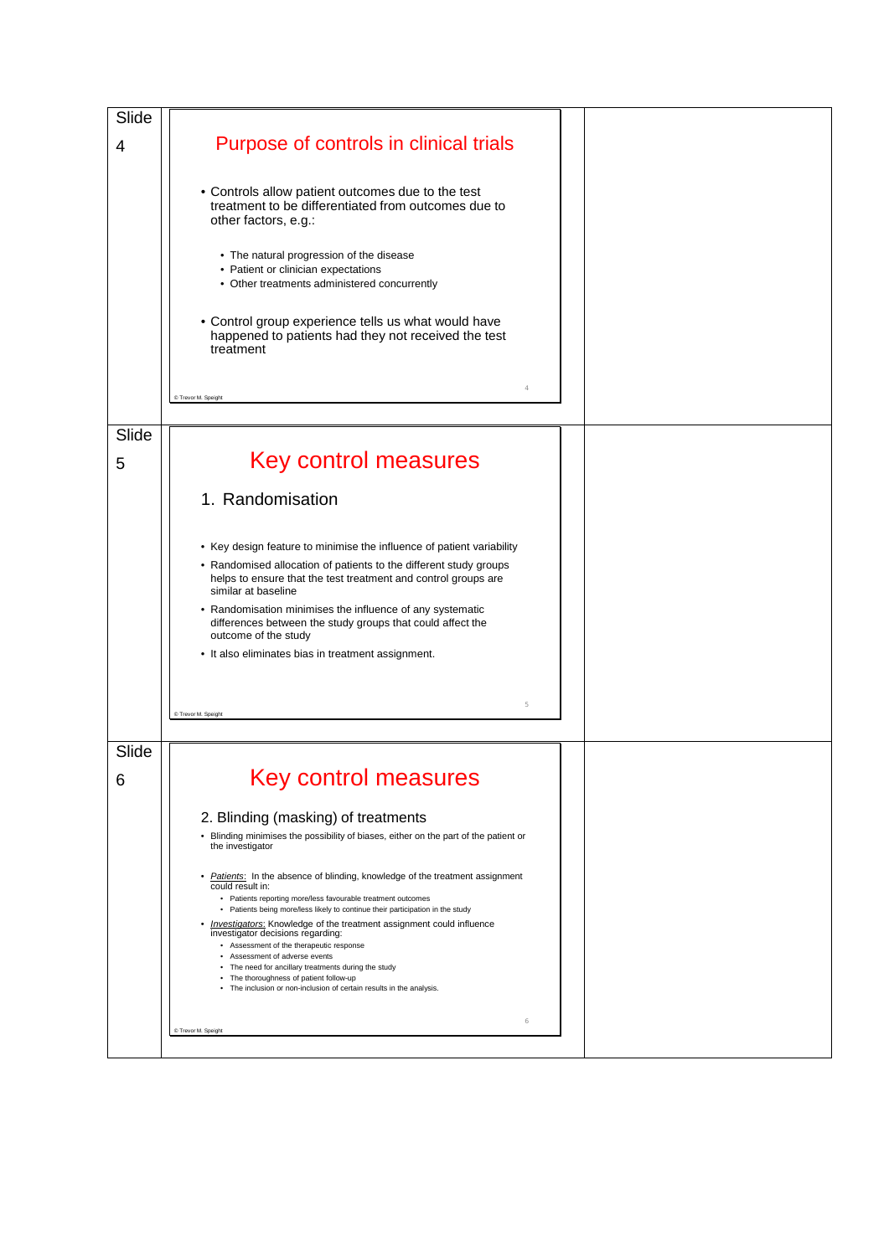| Slide |                                                                                                                                                                                                                                                                                                      |  |
|-------|------------------------------------------------------------------------------------------------------------------------------------------------------------------------------------------------------------------------------------------------------------------------------------------------------|--|
| 4     | Purpose of controls in clinical trials                                                                                                                                                                                                                                                               |  |
|       | • Controls allow patient outcomes due to the test<br>treatment to be differentiated from outcomes due to<br>other factors, e.g.:                                                                                                                                                                     |  |
|       | • The natural progression of the disease<br>• Patient or clinician expectations<br>• Other treatments administered concurrently                                                                                                                                                                      |  |
|       | • Control group experience tells us what would have<br>happened to patients had they not received the test<br>treatment                                                                                                                                                                              |  |
|       | 4<br>C Trevor M. Speight                                                                                                                                                                                                                                                                             |  |
| Slide |                                                                                                                                                                                                                                                                                                      |  |
| 5     | <b>Key control measures</b>                                                                                                                                                                                                                                                                          |  |
|       | 1. Randomisation                                                                                                                                                                                                                                                                                     |  |
|       |                                                                                                                                                                                                                                                                                                      |  |
|       | • Key design feature to minimise the influence of patient variability<br>• Randomised allocation of patients to the different study groups<br>helps to ensure that the test treatment and control groups are<br>similar at baseline                                                                  |  |
|       | • Randomisation minimises the influence of any systematic<br>differences between the study groups that could affect the<br>outcome of the study                                                                                                                                                      |  |
|       | • It also eliminates bias in treatment assignment.                                                                                                                                                                                                                                                   |  |
|       | 5<br>C Trevor M. Speight                                                                                                                                                                                                                                                                             |  |
| Slide |                                                                                                                                                                                                                                                                                                      |  |
| 6     | Key control measures                                                                                                                                                                                                                                                                                 |  |
|       | 2. Blinding (masking) of treatments<br>• Blinding minimises the possibility of biases, either on the part of the patient or<br>the investigator                                                                                                                                                      |  |
|       | Patients: In the absence of blinding, knowledge of the treatment assignment<br>٠<br>could result in:<br>• Patients reporting more/less favourable treatment outcomes<br>• Patients being more/less likely to continue their participation in the study                                               |  |
|       | • <i>Investigators</i> : Knowledge of the treatment assignment could influence<br>investigator decisions regarding:<br>• Assessment of the therapeutic response<br>• Assessment of adverse events<br>• The need for ancillary treatments during the study<br>• The thoroughness of patient follow-up |  |
|       | • The inclusion or non-inclusion of certain results in the analysis.<br>6                                                                                                                                                                                                                            |  |
|       | C Trevor M. Speight                                                                                                                                                                                                                                                                                  |  |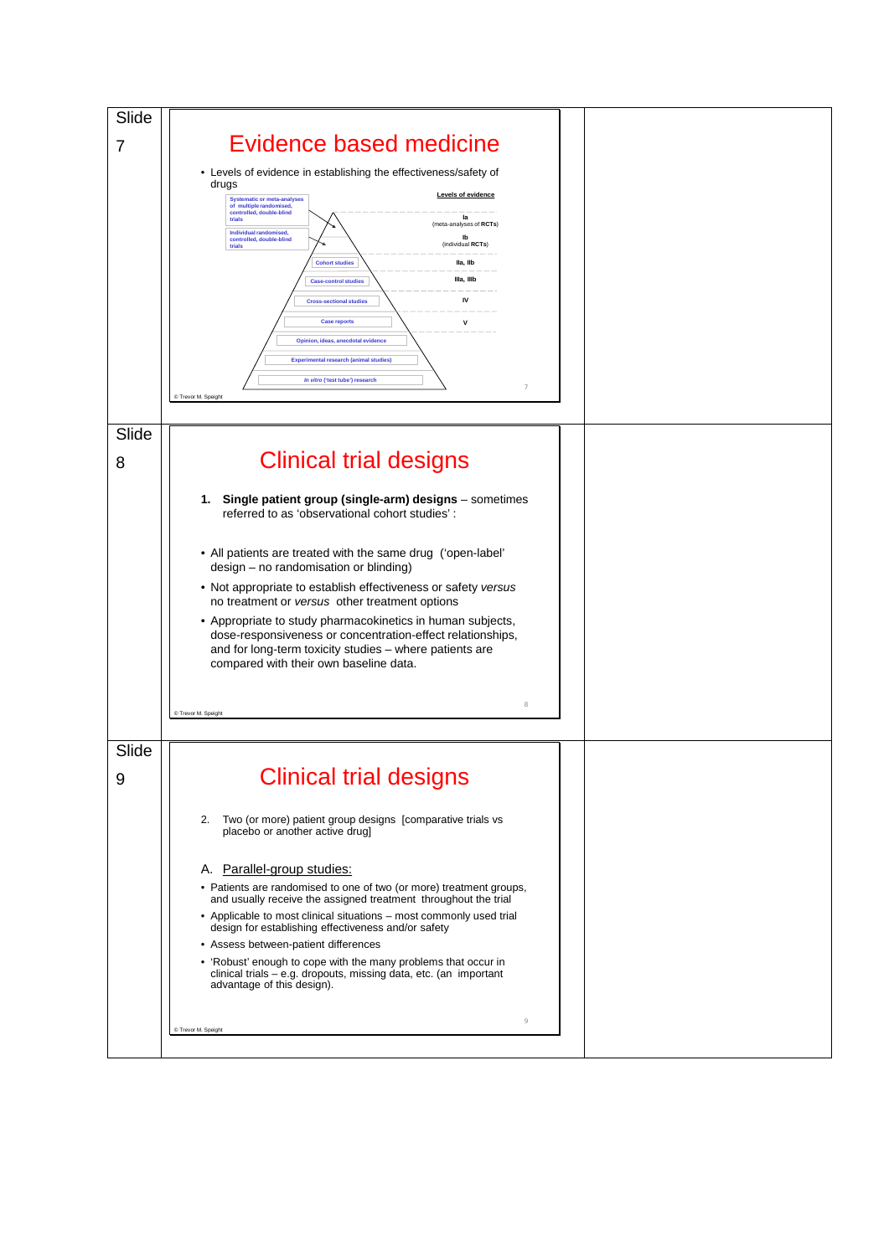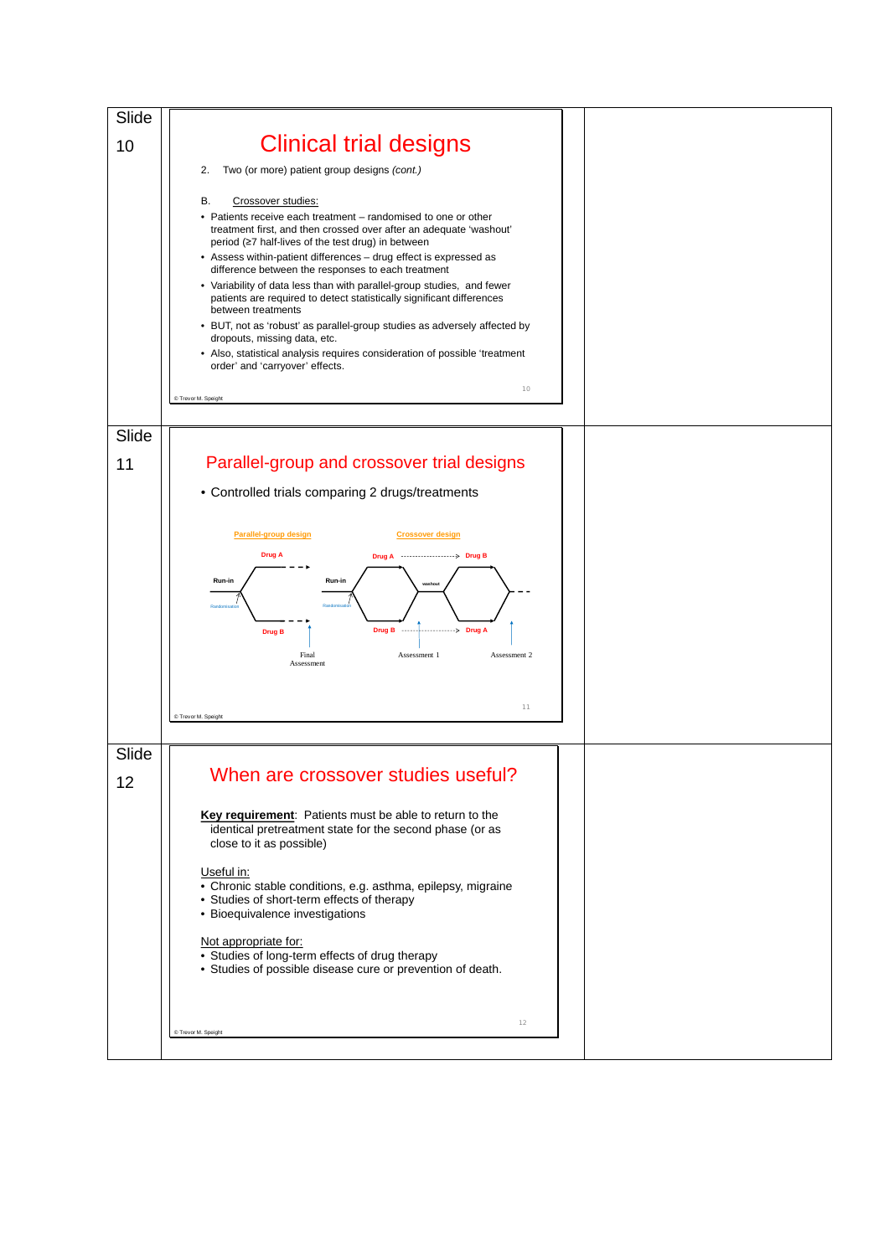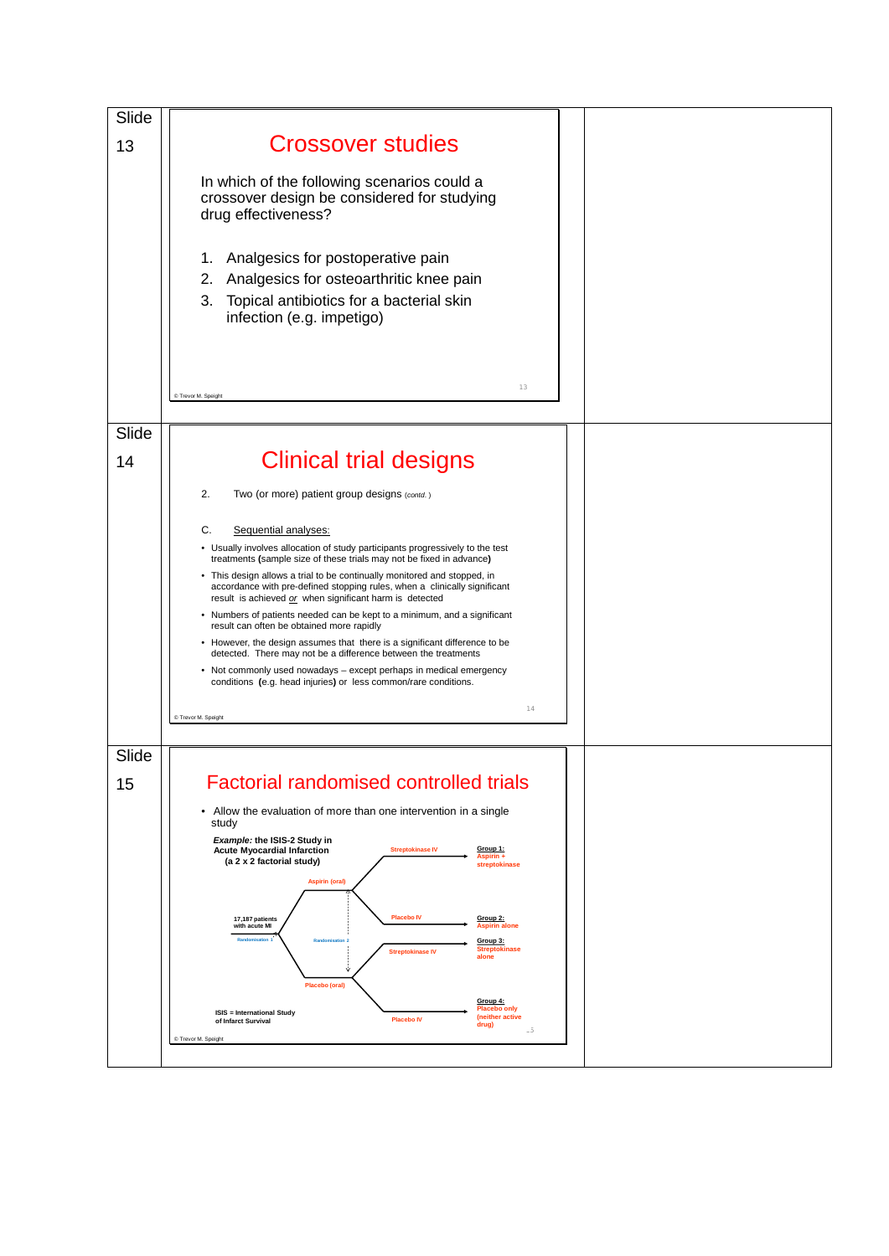| Slide |                                                                                                                                                                                                                  |  |  |
|-------|------------------------------------------------------------------------------------------------------------------------------------------------------------------------------------------------------------------|--|--|
| 13    | <b>Crossover studies</b>                                                                                                                                                                                         |  |  |
|       | In which of the following scenarios could a<br>crossover design be considered for studying<br>drug effectiveness?                                                                                                |  |  |
|       | Analgesics for postoperative pain<br>1.<br>2.<br>Analgesics for osteoarthritic knee pain<br>3.<br>Topical antibiotics for a bacterial skin<br>infection (e.g. impetigo)                                          |  |  |
|       | 13<br>C Trevor M. Speight                                                                                                                                                                                        |  |  |
| Slide |                                                                                                                                                                                                                  |  |  |
| 14    | <b>Clinical trial designs</b>                                                                                                                                                                                    |  |  |
|       | 2.<br>Two (or more) patient group designs (contd.)                                                                                                                                                               |  |  |
|       | C.<br>Sequential analyses:                                                                                                                                                                                       |  |  |
|       | • Usually involves allocation of study participants progressively to the test<br>treatments (sample size of these trials may not be fixed in advance)                                                            |  |  |
|       | • This design allows a trial to be continually monitored and stopped, in<br>accordance with pre-defined stopping rules, when a clinically significant<br>result is achieved or when significant harm is detected |  |  |
|       | • Numbers of patients needed can be kept to a minimum, and a significant<br>result can often be obtained more rapidly                                                                                            |  |  |
|       | • However, the design assumes that there is a significant difference to be<br>detected. There may not be a difference between the treatments                                                                     |  |  |
|       | • Not commonly used nowadays - except perhaps in medical emergency<br>conditions (e.g. head injuries) or less common/rare conditions.                                                                            |  |  |
|       | 14<br>C Trevor M. Speight                                                                                                                                                                                        |  |  |
|       |                                                                                                                                                                                                                  |  |  |
| Slide |                                                                                                                                                                                                                  |  |  |
| 15    | <b>Factorial randomised controlled trials</b>                                                                                                                                                                    |  |  |
|       | Allow the evaluation of more than one intervention in a single<br>٠<br>study                                                                                                                                     |  |  |
|       | Example: the ISIS-2 Study in<br><b>Acute Myocardial Infarction</b><br><b>Streptokinase IV</b><br>Group 1:<br>Aspirin +<br>(a 2 x 2 factorial study)<br>streptokinase                                             |  |  |
|       | <b>Aspirin (oral)</b>                                                                                                                                                                                            |  |  |
|       | <b>Placebo IV</b><br>17,187 patients<br>Group 2:<br>with acute MI<br><b>Aspirin alone</b><br>Group 3:<br><b>Streptokinase</b><br><b>Streptokinase IV</b><br>alone<br>Placebo (oral)                              |  |  |
|       | Group 4:<br><b>Placebo only</b><br><b>ISIS = International Study</b><br>(neither active<br><b>Placebo IV</b><br>of Infarct Survival<br>drug)<br>.5<br>C Trevor M. Speight                                        |  |  |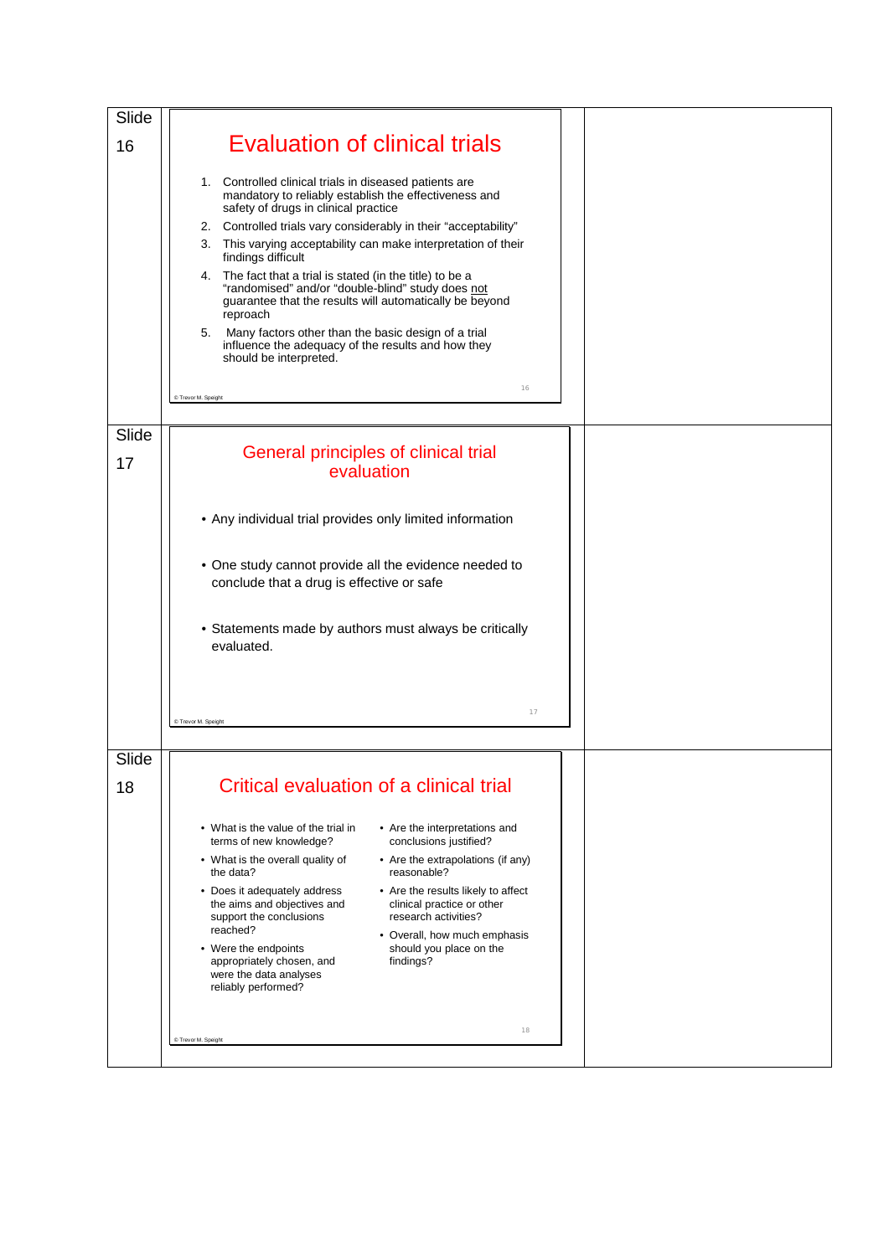| Slide |                                                                                                                                                                                                                                                                                                                                                                                                                                                                                                                                                                                                                                                                                             |  |
|-------|---------------------------------------------------------------------------------------------------------------------------------------------------------------------------------------------------------------------------------------------------------------------------------------------------------------------------------------------------------------------------------------------------------------------------------------------------------------------------------------------------------------------------------------------------------------------------------------------------------------------------------------------------------------------------------------------|--|
| 16    | <b>Evaluation of clinical trials</b>                                                                                                                                                                                                                                                                                                                                                                                                                                                                                                                                                                                                                                                        |  |
|       | 1. Controlled clinical trials in diseased patients are<br>mandatory to reliably establish the effectiveness and<br>safety of drugs in clinical practice<br>Controlled trials vary considerably in their "acceptability"<br>2.<br>This varying acceptability can make interpretation of their<br>3.<br>findings difficult<br>4. The fact that a trial is stated (in the title) to be a<br>"randomised" and/or "double-blind" study does not<br>guarantee that the results will automatically be beyond<br>reproach<br>Many factors other than the basic design of a trial<br>5.<br>influence the adequacy of the results and how they<br>should be interpreted.<br>16<br>C Trevor M. Speight |  |
| Slide | General principles of clinical trial                                                                                                                                                                                                                                                                                                                                                                                                                                                                                                                                                                                                                                                        |  |
| 17    | evaluation                                                                                                                                                                                                                                                                                                                                                                                                                                                                                                                                                                                                                                                                                  |  |
|       | • Any individual trial provides only limited information                                                                                                                                                                                                                                                                                                                                                                                                                                                                                                                                                                                                                                    |  |
|       | • One study cannot provide all the evidence needed to<br>conclude that a drug is effective or safe                                                                                                                                                                                                                                                                                                                                                                                                                                                                                                                                                                                          |  |
|       | • Statements made by authors must always be critically<br>evaluated.                                                                                                                                                                                                                                                                                                                                                                                                                                                                                                                                                                                                                        |  |
|       | 17<br>C Trevor M. Speight                                                                                                                                                                                                                                                                                                                                                                                                                                                                                                                                                                                                                                                                   |  |
| Slide |                                                                                                                                                                                                                                                                                                                                                                                                                                                                                                                                                                                                                                                                                             |  |
| 18    | Critical evaluation of a clinical trial                                                                                                                                                                                                                                                                                                                                                                                                                                                                                                                                                                                                                                                     |  |
|       | • What is the value of the trial in<br>• Are the interpretations and<br>conclusions justified?<br>terms of new knowledge?                                                                                                                                                                                                                                                                                                                                                                                                                                                                                                                                                                   |  |
|       | • What is the overall quality of<br>• Are the extrapolations (if any)<br>reasonable?<br>the data?                                                                                                                                                                                                                                                                                                                                                                                                                                                                                                                                                                                           |  |
|       | • Does it adequately address<br>• Are the results likely to affect<br>the aims and objectives and<br>clinical practice or other<br>support the conclusions<br>research activities?                                                                                                                                                                                                                                                                                                                                                                                                                                                                                                          |  |
|       | reached?<br>• Overall, how much emphasis<br>should you place on the<br>• Were the endpoints<br>appropriately chosen, and<br>findings?<br>were the data analyses<br>reliably performed?                                                                                                                                                                                                                                                                                                                                                                                                                                                                                                      |  |
|       | 18<br>C Trevor M. Speight                                                                                                                                                                                                                                                                                                                                                                                                                                                                                                                                                                                                                                                                   |  |
|       |                                                                                                                                                                                                                                                                                                                                                                                                                                                                                                                                                                                                                                                                                             |  |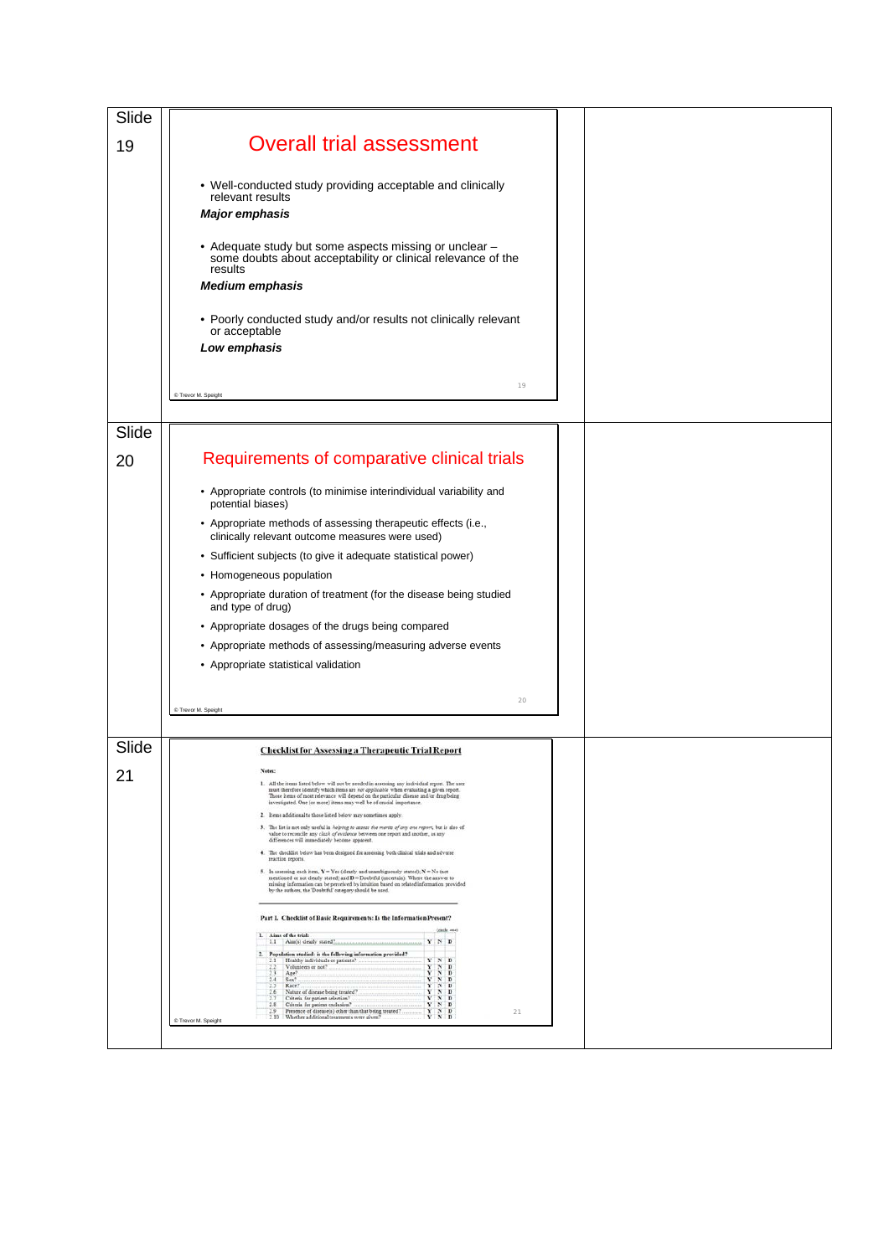| Slide |                                                                                                                                                                                                                                                                                                                                    |  |
|-------|------------------------------------------------------------------------------------------------------------------------------------------------------------------------------------------------------------------------------------------------------------------------------------------------------------------------------------|--|
| 19    | <b>Overall trial assessment</b>                                                                                                                                                                                                                                                                                                    |  |
|       | • Well-conducted study providing acceptable and clinically<br>relevant results<br><b>Major emphasis</b>                                                                                                                                                                                                                            |  |
|       | • Adequate study but some aspects missing or unclear -<br>some doubts about acceptability or clinical relevance of the<br>results<br><b>Medium emphasis</b>                                                                                                                                                                        |  |
|       | • Poorly conducted study and/or results not clinically relevant<br>or acceptable<br>Low emphasis                                                                                                                                                                                                                                   |  |
|       | 19<br>C Trevor M. Speight                                                                                                                                                                                                                                                                                                          |  |
| Slide |                                                                                                                                                                                                                                                                                                                                    |  |
| 20    | Requirements of comparative clinical trials                                                                                                                                                                                                                                                                                        |  |
|       | • Appropriate controls (to minimise interindividual variability and<br>potential biases)                                                                                                                                                                                                                                           |  |
|       | • Appropriate methods of assessing therapeutic effects (i.e.,<br>clinically relevant outcome measures were used)                                                                                                                                                                                                                   |  |
|       | • Sufficient subjects (to give it adequate statistical power)                                                                                                                                                                                                                                                                      |  |
|       | • Homogeneous population                                                                                                                                                                                                                                                                                                           |  |
|       | • Appropriate duration of treatment (for the disease being studied<br>and type of drug)                                                                                                                                                                                                                                            |  |
|       | • Appropriate dosages of the drugs being compared                                                                                                                                                                                                                                                                                  |  |
|       | • Appropriate methods of assessing/measuring adverse events                                                                                                                                                                                                                                                                        |  |
|       | • Appropriate statistical validation                                                                                                                                                                                                                                                                                               |  |
|       | 20                                                                                                                                                                                                                                                                                                                                 |  |
|       | C Trevor M. Speight                                                                                                                                                                                                                                                                                                                |  |
| Slide | <b>Checklist for Assessing a Therapeutic Trial Report</b>                                                                                                                                                                                                                                                                          |  |
| 21    | Notes:                                                                                                                                                                                                                                                                                                                             |  |
|       | 1. All the items listed below will not be needed in assessing any individual report. The user<br>must therefore identify which items are not applicable when evaluating a given report.<br>Those items of most relevance will depend on the particular disease and or drug being                                                   |  |
|       | investigated. One (or more) items may well be of crucial importance.<br>2. Items additional to those listed below may sometimes apply.                                                                                                                                                                                             |  |
|       | 3. The list is not only useful in helping to assess the merits of any one report, but is also of<br>value to reconcile any closh of evidence between one report and another, as any<br>differences will immediately become apparent.                                                                                               |  |
|       | 4. The checklist below has been designed for assessing both clinical trials and adverse<br>reaction reports.                                                                                                                                                                                                                       |  |
|       | 5. In assessing each item, $Y = Yes$ (clearly and unambiguously stated); $N = No$ (not<br>mentioned or not clearly stated) and D = Doubtful (uncertain). Where the answer to<br>missing information can be perceived by intuition based on related information provided<br>by the authors, the 'Doubtful' category should be used. |  |
|       | Part I. Checklist of Basic Requirements: Is the Information Present?                                                                                                                                                                                                                                                               |  |
|       | (cecle cow)<br>1. Aims of the trial:<br>1.1 Aim(s) clearly stated?<br>$Y$ N D                                                                                                                                                                                                                                                      |  |
|       | 2. Population studied: is the following information provided?<br>Healthy individuals or patients?<br>$Y$ $N$ $D$                                                                                                                                                                                                                   |  |
|       | $\begin{array}{cccccc}\nY & X & Y & D \\ Y & X & D & D \\ Y & X & D & D \\ Y & X & D & D \\ Y & X & D & D\n\end{array}$<br>Volunteers or not?<br>33<br>23<br>Age?<br>$2.4$ Sex?<br>Race?                                                                                                                                           |  |
|       | 2.6<br>Nature of disease being treated?<br>33<br>Criteria for patient selection?<br>Criteria for patient exclusion?<br>$\begin{array}{ccc} Y & N & D \\ Y & N & D \end{array}$<br>2.8                                                                                                                                              |  |
|       | $\begin{array}{ccc}\n\bullet & \bullet & \bullet & \bullet \\ \bullet & \bullet & \bullet & \bullet \\ \bullet & \bullet & \bullet & \bullet\n\end{array}$<br>Presence of disease(s) other than that being treated?<br>2.9<br>21<br>2.10 Whether additional treatments were given?<br>C Trevor M. Speight                          |  |
|       |                                                                                                                                                                                                                                                                                                                                    |  |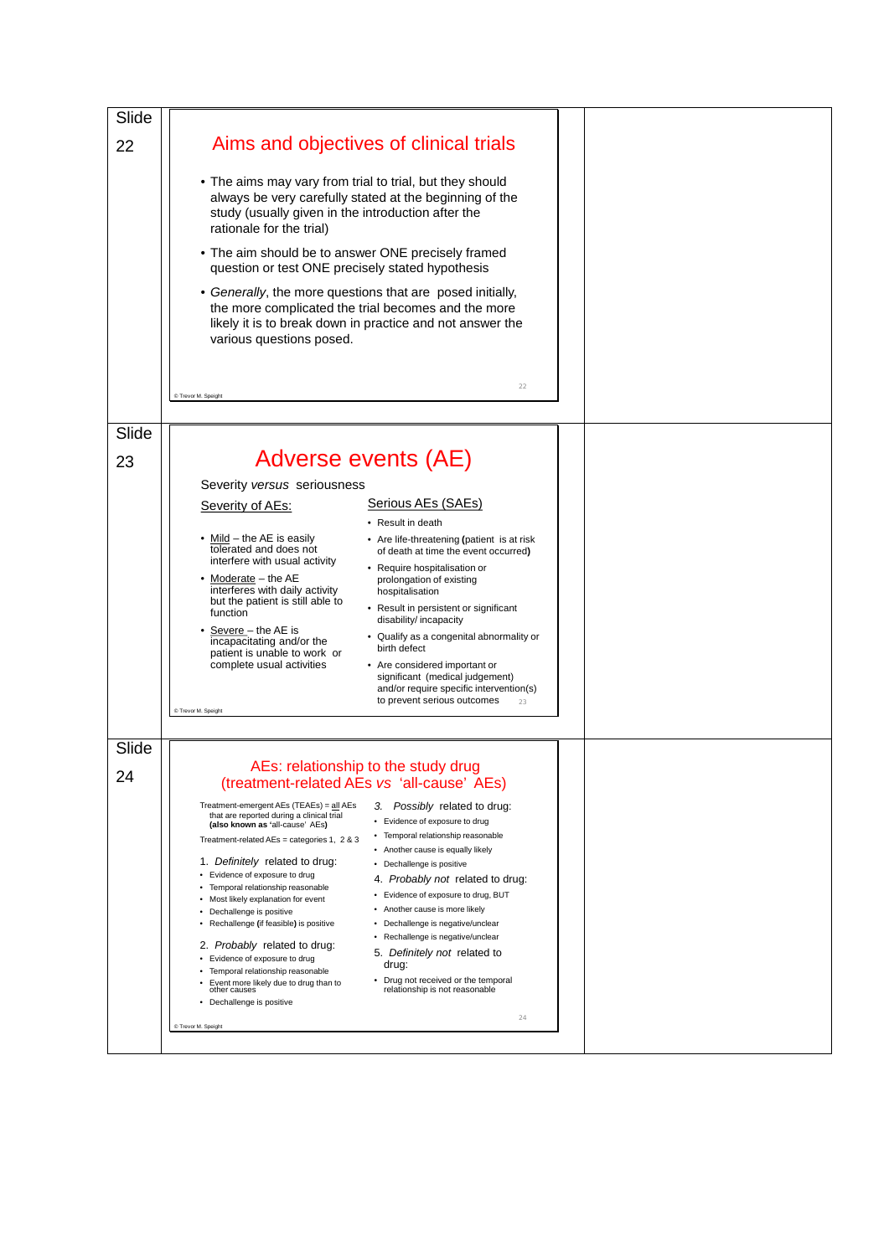| Slide |                                                                                                                                                                                                                                                                                                                      |  |
|-------|----------------------------------------------------------------------------------------------------------------------------------------------------------------------------------------------------------------------------------------------------------------------------------------------------------------------|--|
| 22    | Aims and objectives of clinical trials                                                                                                                                                                                                                                                                               |  |
|       | • The aims may vary from trial to trial, but they should<br>always be very carefully stated at the beginning of the<br>study (usually given in the introduction after the<br>rationale for the trial)                                                                                                                |  |
|       | • The aim should be to answer ONE precisely framed<br>question or test ONE precisely stated hypothesis                                                                                                                                                                                                               |  |
|       | • Generally, the more questions that are posed initially,<br>the more complicated the trial becomes and the more<br>likely it is to break down in practice and not answer the<br>various questions posed.                                                                                                            |  |
|       | 22<br>C Trevor M. Speight                                                                                                                                                                                                                                                                                            |  |
|       |                                                                                                                                                                                                                                                                                                                      |  |
| Slide |                                                                                                                                                                                                                                                                                                                      |  |
| 23    | Adverse events (AE)                                                                                                                                                                                                                                                                                                  |  |
|       | Severity versus seriousness                                                                                                                                                                                                                                                                                          |  |
|       | Serious AEs (SAEs)<br>Severity of AEs:<br>• Result in death                                                                                                                                                                                                                                                          |  |
|       | • Mild – the AE is easily<br>• Are life-threatening (patient is at risk                                                                                                                                                                                                                                              |  |
|       | tolerated and does not<br>of death at time the event occurred)<br>interfere with usual activity<br>• Require hospitalisation or                                                                                                                                                                                      |  |
|       | Moderate - the AE<br>prolongation of existing<br>interferes with daily activity<br>hospitalisation                                                                                                                                                                                                                   |  |
|       | but the patient is still able to<br>• Result in persistent or significant<br>function<br>disability/ incapacity                                                                                                                                                                                                      |  |
|       | Severe - the AE is<br>• Qualify as a congenital abnormality or<br>incapacitating and/or the<br>birth defect                                                                                                                                                                                                          |  |
|       | patient is unable to work or<br>complete usual activities<br>• Are considered important or<br>significant (medical judgement)<br>and/or require specific intervention(s)<br>to prevent serious outcomes<br>23                                                                                                        |  |
|       | C Trevor M. Speight                                                                                                                                                                                                                                                                                                  |  |
| Slide |                                                                                                                                                                                                                                                                                                                      |  |
| 24    | AEs: relationship to the study drug<br>(treatment-related AEs vs 'all-cause' AEs)                                                                                                                                                                                                                                    |  |
|       | 3. Possibly related to drug:<br>Treatment-emergent AEs (TEAEs) = all AEs<br>that are reported during a clinical trial<br>• Evidence of exposure to drug<br>(also known as 'all-cause' AEs)<br>• Temporal relationship reasonable<br>Treatment-related AEs = categories 1, 2 & 3<br>• Another cause is equally likely |  |
|       | 1. Definitely related to drug:<br>• Dechallenge is positive                                                                                                                                                                                                                                                          |  |
|       | • Evidence of exposure to drug<br>4. Probably not related to drug:<br>• Temporal relationship reasonable<br>• Evidence of exposure to drug, BUT                                                                                                                                                                      |  |
|       | • Most likely explanation for event<br>Another cause is more likely<br>٠<br>• Dechallenge is positive                                                                                                                                                                                                                |  |
|       | Dechallenge is negative/unclear<br>• Rechallenge (if feasible) is positive<br>٠<br>• Rechallenge is negative/unclear<br>2. Probably related to drug:                                                                                                                                                                 |  |
|       | 5. Definitely not related to<br>• Evidence of exposure to drug<br>drug:<br>Temporal relationship reasonable                                                                                                                                                                                                          |  |
|       | • Drug not received or the temporal<br>Event more likely due to drug than to<br>relationship is not reasonable<br>other causes<br>• Dechallenge is positive                                                                                                                                                          |  |
|       | 24<br>© Trevor M. Speight                                                                                                                                                                                                                                                                                            |  |
|       |                                                                                                                                                                                                                                                                                                                      |  |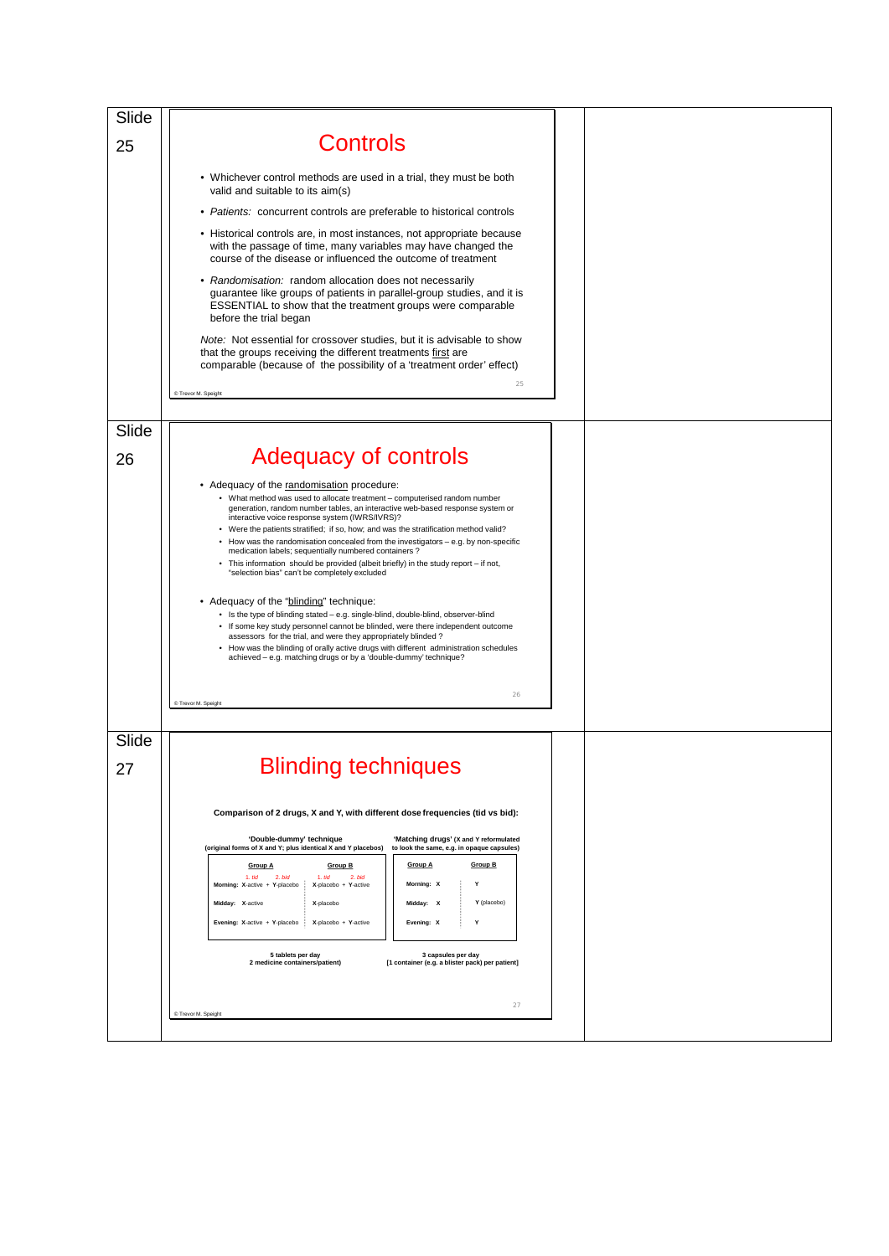| Slide |                                                                                                                                                                                                                            |  |
|-------|----------------------------------------------------------------------------------------------------------------------------------------------------------------------------------------------------------------------------|--|
| 25    | <b>Controls</b>                                                                                                                                                                                                            |  |
|       | • Whichever control methods are used in a trial, they must be both<br>valid and suitable to its aim(s)                                                                                                                     |  |
|       | • Patients: concurrent controls are preferable to historical controls                                                                                                                                                      |  |
|       | • Historical controls are, in most instances, not appropriate because<br>with the passage of time, many variables may have changed the<br>course of the disease or influenced the outcome of treatment                     |  |
|       | • Randomisation: random allocation does not necessarily<br>guarantee like groups of patients in parallel-group studies, and it is<br>ESSENTIAL to show that the treatment groups were comparable<br>before the trial began |  |
|       | <i>Note:</i> Not essential for crossover studies, but it is advisable to show<br>that the groups receiving the different treatments first are<br>comparable (because of the possibility of a 'treatment order' effect)     |  |
|       | 25<br>C Trevor M. Speight                                                                                                                                                                                                  |  |
|       |                                                                                                                                                                                                                            |  |
| Slide |                                                                                                                                                                                                                            |  |
| 26    | <b>Adequacy of controls</b>                                                                                                                                                                                                |  |
|       | • Adequacy of the randomisation procedure:<br>• What method was used to allocate treatment - computerised random number<br>generation, random number tables, an interactive web-based response system or                   |  |
|       | interactive voice response system (IWRS/IVRS)?<br>• Were the patients stratified; if so, how; and was the stratification method valid?                                                                                     |  |
|       | How was the randomisation concealed from the investigators $-$ e.g. by non-specific<br>medication labels; sequentially numbered containers?                                                                                |  |
|       | • This information should be provided (albeit briefly) in the study report - if not,<br>"selection bias" can't be completely excluded                                                                                      |  |
|       |                                                                                                                                                                                                                            |  |
|       | • Adequacy of the "blinding" technique:<br>• Is the type of blinding stated - e.g. single-blind, double-blind, observer-blind                                                                                              |  |
|       | • If some key study personnel cannot be blinded, were there independent outcome<br>assessors for the trial, and were they appropriately blinded ?                                                                          |  |
|       | • How was the blinding of orally active drugs with different administration schedules<br>achieved - e.g. matching drugs or by a 'double-dummy' technique?                                                                  |  |
|       |                                                                                                                                                                                                                            |  |
|       | 26<br>C Trevor M. Speight                                                                                                                                                                                                  |  |
|       |                                                                                                                                                                                                                            |  |
| Slide |                                                                                                                                                                                                                            |  |
| 27    | <b>Blinding techniques</b>                                                                                                                                                                                                 |  |
|       | Comparison of 2 drugs, X and Y, with different dose frequencies (tid vs bid):                                                                                                                                              |  |
|       | 'Double-dummy' technique<br>'Matching drugs' (X and Y reformulated<br>(original forms of X and Y; plus identical X and Y placebos)<br>to look the same, e.g. in opaque capsules)                                           |  |
|       | <b>Group B</b><br><b>Group A</b><br>Group B<br><b>Group A</b>                                                                                                                                                              |  |
|       | 1. tid<br>2. bid<br>1. tid<br>$2.$ bid<br>Morning: X<br>Morning: X-active + Y-placebo<br>X-placebo + Y-active<br>Y                                                                                                         |  |
|       | Midday: X-active<br>X-placebo<br>Midday: X<br>Y (placebo)                                                                                                                                                                  |  |
|       | Evening: X-active + Y-placebo<br>X-placebo + Y-active<br>Evening: X<br>Y                                                                                                                                                   |  |
|       | 5 tablets per day<br>3 capsules per day<br>2 medicine containers/patient)<br>[1 container (e.g. a blister pack) per patient]                                                                                               |  |
|       |                                                                                                                                                                                                                            |  |
|       | 27<br>C Trevor M. Speight                                                                                                                                                                                                  |  |
|       |                                                                                                                                                                                                                            |  |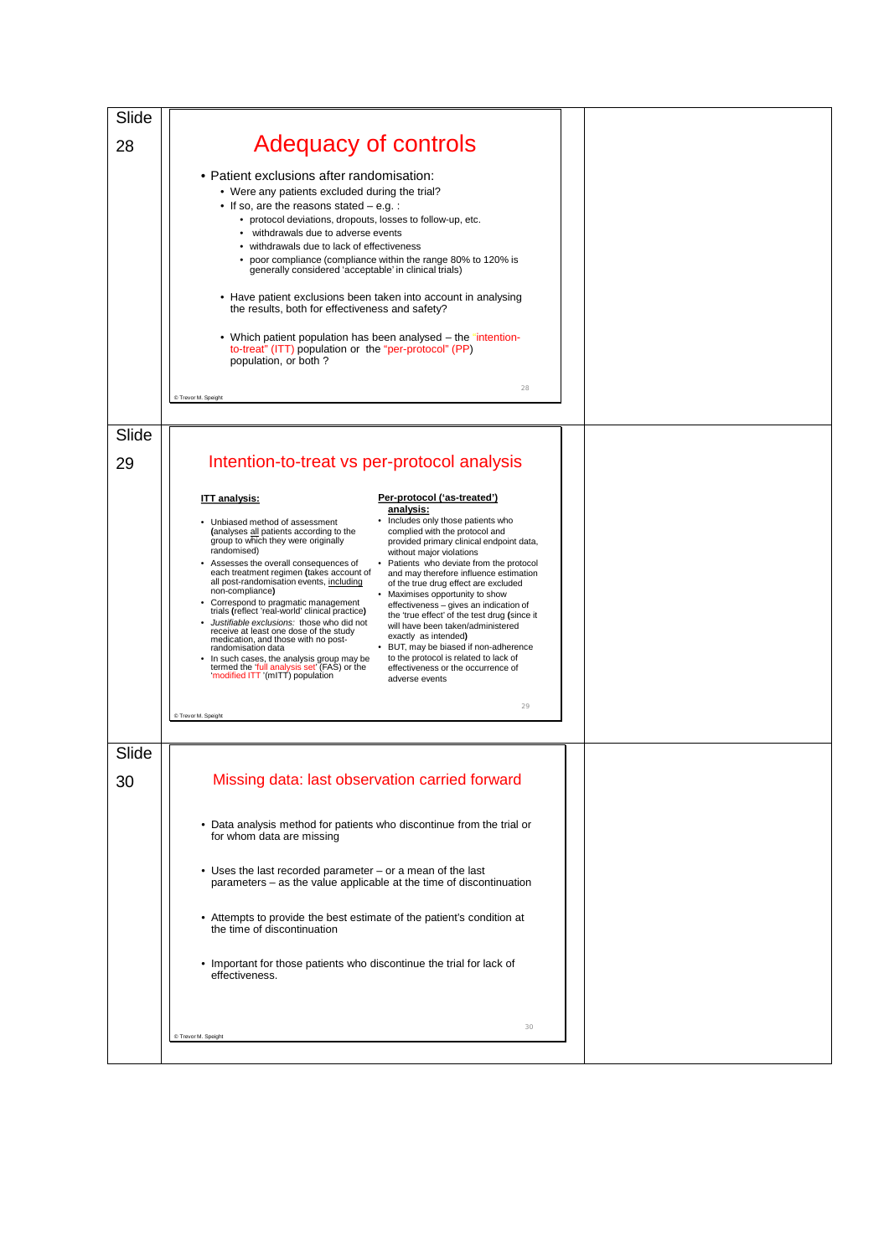| Slide       |                                                                                                                                                                                                                                                                                                                                                                                                                                                                                                                                                                                                                                                                                                                                                                                                                                                                                                                                                                                                                                                                                                                                                                                                                                                                                                                                                                                      |  |
|-------------|--------------------------------------------------------------------------------------------------------------------------------------------------------------------------------------------------------------------------------------------------------------------------------------------------------------------------------------------------------------------------------------------------------------------------------------------------------------------------------------------------------------------------------------------------------------------------------------------------------------------------------------------------------------------------------------------------------------------------------------------------------------------------------------------------------------------------------------------------------------------------------------------------------------------------------------------------------------------------------------------------------------------------------------------------------------------------------------------------------------------------------------------------------------------------------------------------------------------------------------------------------------------------------------------------------------------------------------------------------------------------------------|--|
| 28          | <b>Adequacy of controls</b>                                                                                                                                                                                                                                                                                                                                                                                                                                                                                                                                                                                                                                                                                                                                                                                                                                                                                                                                                                                                                                                                                                                                                                                                                                                                                                                                                          |  |
|             | • Patient exclusions after randomisation:<br>• Were any patients excluded during the trial?<br>• If so, are the reasons stated $-$ e.g. :<br>• protocol deviations, dropouts, losses to follow-up, etc.<br>withdrawals due to adverse events<br>• withdrawals due to lack of effectiveness<br>• poor compliance (compliance within the range 80% to 120% is<br>generally considered 'acceptable' in clinical trials)<br>• Have patient exclusions been taken into account in analysing<br>the results, both for effectiveness and safety?<br>• Which patient population has been analysed – the "intention-<br>to-treat" (ITT) population or the "per-protocol" (PP)<br>population, or both?<br>28<br>C Trevor M. Speight                                                                                                                                                                                                                                                                                                                                                                                                                                                                                                                                                                                                                                                            |  |
|             |                                                                                                                                                                                                                                                                                                                                                                                                                                                                                                                                                                                                                                                                                                                                                                                                                                                                                                                                                                                                                                                                                                                                                                                                                                                                                                                                                                                      |  |
| Slide<br>29 | Intention-to-treat vs per-protocol analysis                                                                                                                                                                                                                                                                                                                                                                                                                                                                                                                                                                                                                                                                                                                                                                                                                                                                                                                                                                                                                                                                                                                                                                                                                                                                                                                                          |  |
|             | Per-protocol ('as-treated')<br><b>ITT</b> analysis:<br>analysis:<br>• Includes only those patients who<br>• Unbiased method of assessment<br>complied with the protocol and<br>(analyses all patients according to the<br>group to which they were originally<br>provided primary clinical endpoint data,<br>randomised)<br>without major violations<br>Assesses the overall consequences of<br>• Patients who deviate from the protocol<br>each treatment regimen (takes account of<br>and may therefore influence estimation<br>all post-randomisation events, including<br>of the true drug effect are excluded<br>non-compliance)<br>• Maximises opportunity to show<br>• Correspond to pragmatic management<br>trials (reflect 'real-world' clinical practice)<br>effectiveness - gives an indication of<br>the 'true effect' of the test drug (since it<br>Justifiable exclusions: those who did not<br>will have been taken/administered<br>receive at least one dose of the study<br>exactly as intended)<br>medication, and those with no post-<br>• BUT, may be biased if non-adherence<br>randomisation data<br>to the protocol is related to lack of<br>In such cases, the analysis group may be<br>termed the 'full analysis set' (FAS) or the<br>effectiveness or the occurrence of<br>'modified ITT '(mITT) population<br>adverse events<br>29<br>C Trevor M. Speight |  |
| Slide       |                                                                                                                                                                                                                                                                                                                                                                                                                                                                                                                                                                                                                                                                                                                                                                                                                                                                                                                                                                                                                                                                                                                                                                                                                                                                                                                                                                                      |  |
| 30          | Missing data: last observation carried forward<br>• Data analysis method for patients who discontinue from the trial or<br>for whom data are missing<br>• Uses the last recorded parameter – or a mean of the last<br>parameters – as the value applicable at the time of discontinuation<br>• Attempts to provide the best estimate of the patient's condition at<br>the time of discontinuation<br>• Important for those patients who discontinue the trial for lack of<br>effectiveness.                                                                                                                                                                                                                                                                                                                                                                                                                                                                                                                                                                                                                                                                                                                                                                                                                                                                                          |  |
|             | 30<br>C Trevor M. Speight                                                                                                                                                                                                                                                                                                                                                                                                                                                                                                                                                                                                                                                                                                                                                                                                                                                                                                                                                                                                                                                                                                                                                                                                                                                                                                                                                            |  |
|             |                                                                                                                                                                                                                                                                                                                                                                                                                                                                                                                                                                                                                                                                                                                                                                                                                                                                                                                                                                                                                                                                                                                                                                                                                                                                                                                                                                                      |  |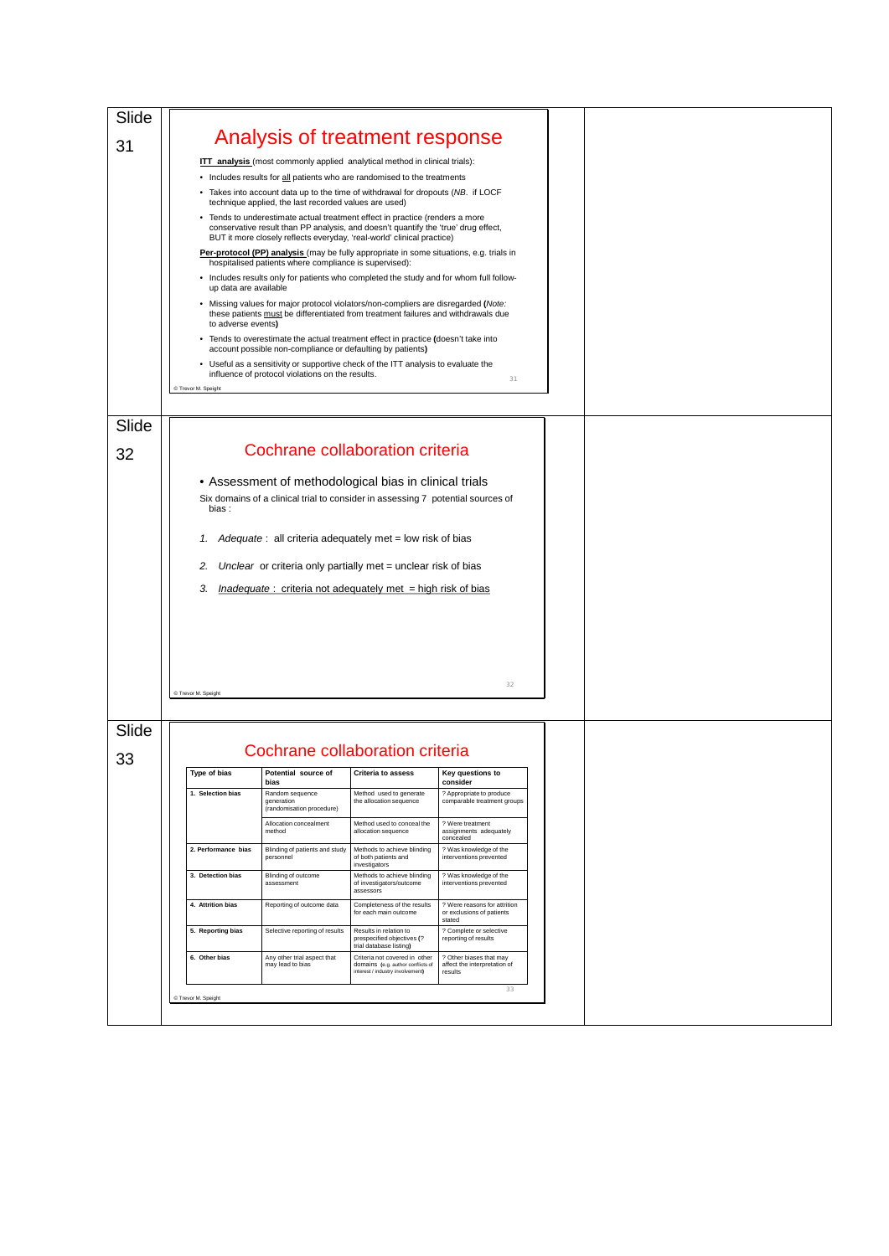| Slide |                       |                                                                                                                                                                                                                                              |                                                                                                        |                                                                     |  |
|-------|-----------------------|----------------------------------------------------------------------------------------------------------------------------------------------------------------------------------------------------------------------------------------------|--------------------------------------------------------------------------------------------------------|---------------------------------------------------------------------|--|
| 31    |                       | Analysis of treatment response                                                                                                                                                                                                               |                                                                                                        |                                                                     |  |
|       |                       | <b>ITT analysis</b> (most commonly applied analytical method in clinical trials):                                                                                                                                                            |                                                                                                        |                                                                     |  |
|       |                       | • Includes results for all patients who are randomised to the treatments<br>• Takes into account data up to the time of withdrawal for dropouts (NB. if LOCF                                                                                 |                                                                                                        |                                                                     |  |
|       |                       | technique applied, the last recorded values are used)                                                                                                                                                                                        |                                                                                                        |                                                                     |  |
|       |                       | • Tends to underestimate actual treatment effect in practice (renders a more<br>conservative result than PP analysis, and doesn't quantify the 'true' drug effect,<br>BUT it more closely reflects everyday, 'real-world' clinical practice) |                                                                                                        |                                                                     |  |
|       |                       | <b>Per-protocol (PP) analysis</b> (may be fully appropriate in some situations, e.g. trials in<br>hospitalised patients where compliance is supervised):                                                                                     |                                                                                                        |                                                                     |  |
|       | up data are available | • Includes results only for patients who completed the study and for whom full follow-                                                                                                                                                       |                                                                                                        |                                                                     |  |
|       | to adverse events)    | . Missing values for major protocol violators/non-compliers are disregarded (Note:<br>these patients must be differentiated from treatment failures and withdrawals due                                                                      |                                                                                                        |                                                                     |  |
|       |                       | • Tends to overestimate the actual treatment effect in practice (doesn't take into<br>account possible non-compliance or defaulting by patients)                                                                                             |                                                                                                        |                                                                     |  |
|       |                       | • Useful as a sensitivity or supportive check of the ITT analysis to evaluate the<br>influence of protocol violations on the results.                                                                                                        |                                                                                                        |                                                                     |  |
|       | C Trevor M. Speight   |                                                                                                                                                                                                                                              |                                                                                                        | 31                                                                  |  |
|       |                       |                                                                                                                                                                                                                                              |                                                                                                        |                                                                     |  |
| Slide |                       |                                                                                                                                                                                                                                              |                                                                                                        |                                                                     |  |
| 32    |                       | Cochrane collaboration criteria                                                                                                                                                                                                              |                                                                                                        |                                                                     |  |
|       |                       | • Assessment of methodological bias in clinical trials                                                                                                                                                                                       |                                                                                                        |                                                                     |  |
|       |                       | Six domains of a clinical trial to consider in assessing 7 potential sources of                                                                                                                                                              |                                                                                                        |                                                                     |  |
|       | bias:                 |                                                                                                                                                                                                                                              |                                                                                                        |                                                                     |  |
|       |                       | 1. Adequate: all criteria adequately met = low risk of bias                                                                                                                                                                                  |                                                                                                        |                                                                     |  |
|       |                       |                                                                                                                                                                                                                                              |                                                                                                        |                                                                     |  |
|       | 2.                    | Unclear or criteria only partially met = unclear risk of bias                                                                                                                                                                                |                                                                                                        |                                                                     |  |
|       | 3.                    | $Indeeduate: criteria not adequately met = high risk of bias$                                                                                                                                                                                |                                                                                                        |                                                                     |  |
|       |                       |                                                                                                                                                                                                                                              |                                                                                                        |                                                                     |  |
|       |                       |                                                                                                                                                                                                                                              |                                                                                                        |                                                                     |  |
|       |                       |                                                                                                                                                                                                                                              |                                                                                                        |                                                                     |  |
|       |                       |                                                                                                                                                                                                                                              |                                                                                                        |                                                                     |  |
|       | C Trevor M. Speight   |                                                                                                                                                                                                                                              |                                                                                                        | 32                                                                  |  |
|       |                       |                                                                                                                                                                                                                                              |                                                                                                        |                                                                     |  |
| Slide |                       |                                                                                                                                                                                                                                              |                                                                                                        |                                                                     |  |
| 33    |                       | Cochrane collaboration criteria                                                                                                                                                                                                              |                                                                                                        |                                                                     |  |
|       | Type of bias          | Potential source of Criteria to assess<br>bias                                                                                                                                                                                               |                                                                                                        | Key questions to<br>consider                                        |  |
|       | 1. Selection bias     | Random sequence<br>generation<br>(randomisation procedure)                                                                                                                                                                                   | Method used to generate<br>the allocation sequence                                                     | ? Appropriate to produce<br>comparable treatment groups             |  |
|       |                       | Allocation concealment<br>method                                                                                                                                                                                                             | Method used to conceal the<br>allocation sequence                                                      | ? Were treatment<br>assignments adequately<br>concealed             |  |
|       | 2. Performance bias   | Blinding of patients and study<br>personnel                                                                                                                                                                                                  | Methods to achieve blinding<br>of both patients and<br>investigators                                   | ? Was knowledge of the<br>interventions prevented                   |  |
|       | 3. Detection bias     | Blinding of outcome<br>assessment                                                                                                                                                                                                            | Methods to achieve blinding<br>of investigators/outcome<br>assessors                                   |                                                                     |  |
|       | 4. Attrition bias     | Reporting of outcome data                                                                                                                                                                                                                    | Completeness of the results<br>for each main outcome                                                   | ? Were reasons for attrition<br>or exclusions of patients<br>stated |  |
|       | 5. Reporting bias     | Selective reporting of results                                                                                                                                                                                                               | Results in relation to<br>prespecified objectives (?<br>trial database listing)                        | ? Complete or selective<br>reporting of results                     |  |
|       | 6. Other bias         | Any other trial aspect that<br>may lead to bias                                                                                                                                                                                              | Criteria not covered in other<br>domains (e.g. author conflicts of<br>interest / industry involvement) | ? Other biases that may<br>affect the interpretation of<br>results  |  |
|       | C Trevor M. Speight   |                                                                                                                                                                                                                                              |                                                                                                        | 33                                                                  |  |
|       |                       |                                                                                                                                                                                                                                              |                                                                                                        |                                                                     |  |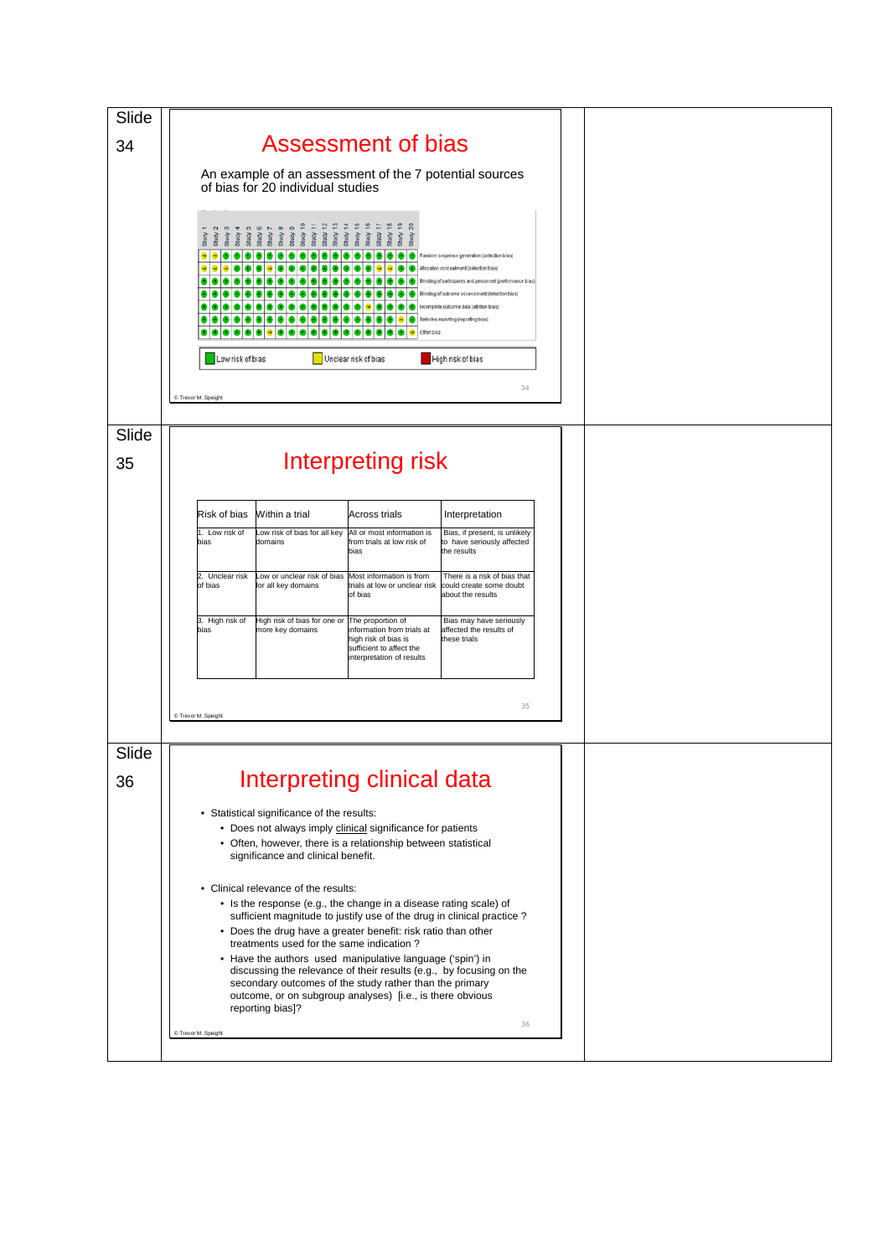| Slide |                                                                                                                                                                                                                                                                                                                                                                  |  |
|-------|------------------------------------------------------------------------------------------------------------------------------------------------------------------------------------------------------------------------------------------------------------------------------------------------------------------------------------------------------------------|--|
| 34    | <b>Assessment of bias</b>                                                                                                                                                                                                                                                                                                                                        |  |
|       | An example of an assessment of the 7 potential sources                                                                                                                                                                                                                                                                                                           |  |
|       | of bias for 20 individual studies                                                                                                                                                                                                                                                                                                                                |  |
|       | prepre<br>$\frac{6}{2}$<br>$\frac{80}{2}$<br>உ<br>- 11<br>Random sequence generation (selection bias)<br>diocation concealment (selection bias)<br>linding of participants and personnel (performance bias)<br>Blinding of outcome assessment (detection bias)<br>Incomplete outcome data (affrition bias)<br>Selective reporting (reporting blas)<br>Other bias |  |
|       | Unclear risk of bias<br>High risk of bias<br>Low risk of bias                                                                                                                                                                                                                                                                                                    |  |
|       |                                                                                                                                                                                                                                                                                                                                                                  |  |
|       | 34<br>© Trevor M. Speight                                                                                                                                                                                                                                                                                                                                        |  |
|       |                                                                                                                                                                                                                                                                                                                                                                  |  |
| Slide |                                                                                                                                                                                                                                                                                                                                                                  |  |
| 35    | Interpreting risk                                                                                                                                                                                                                                                                                                                                                |  |
|       |                                                                                                                                                                                                                                                                                                                                                                  |  |
|       | Within a trial<br>Risk of bias<br>Across trials<br>Interpretation                                                                                                                                                                                                                                                                                                |  |
|       | 1. Low risk of<br>Low risk of bias for all key<br>All or most information is<br>Bias, if present, is unlikely<br>bias<br>domains<br>from trials at low risk of<br>to have seriously affected<br>bias<br>the results                                                                                                                                              |  |
|       | 2. Unclear risk<br>Low or unclear risk of bias<br>Most information is from<br>There is a risk of bias that                                                                                                                                                                                                                                                       |  |
|       | of bias<br>for all key domains<br>trials at low or unclear risk<br>could create some doubt<br>of bias<br>about the results                                                                                                                                                                                                                                       |  |
|       | 3. High risk of<br>High risk of bias for one or<br>The proportion of<br>Bias may have seriously<br>more key domains<br>information from trials at<br>affected the results of<br>bias<br>high risk of bias is<br>these trials<br>sufficient to affect the<br>interpretation of results                                                                            |  |
|       |                                                                                                                                                                                                                                                                                                                                                                  |  |
|       | 35<br>C Trevor M. Speight                                                                                                                                                                                                                                                                                                                                        |  |
|       |                                                                                                                                                                                                                                                                                                                                                                  |  |
| Slide |                                                                                                                                                                                                                                                                                                                                                                  |  |
| 36    | Interpreting clinical data                                                                                                                                                                                                                                                                                                                                       |  |
|       | • Statistical significance of the results:                                                                                                                                                                                                                                                                                                                       |  |
|       | • Does not always imply clinical significance for patients<br>• Often, however, there is a relationship between statistical                                                                                                                                                                                                                                      |  |
|       | significance and clinical benefit.                                                                                                                                                                                                                                                                                                                               |  |
|       | • Clinical relevance of the results:                                                                                                                                                                                                                                                                                                                             |  |
|       | • Is the response (e.g., the change in a disease rating scale) of<br>sufficient magnitude to justify use of the drug in clinical practice?                                                                                                                                                                                                                       |  |
|       | • Does the drug have a greater benefit: risk ratio than other                                                                                                                                                                                                                                                                                                    |  |
|       | treatments used for the same indication?<br>• Have the authors used manipulative language ('spin') in                                                                                                                                                                                                                                                            |  |
|       | discussing the relevance of their results (e.g., by focusing on the<br>secondary outcomes of the study rather than the primary<br>outcome, or on subgroup analyses) [i.e., is there obvious<br>reporting bias]?                                                                                                                                                  |  |
|       | 36<br>© Trevor M. Speight                                                                                                                                                                                                                                                                                                                                        |  |
|       |                                                                                                                                                                                                                                                                                                                                                                  |  |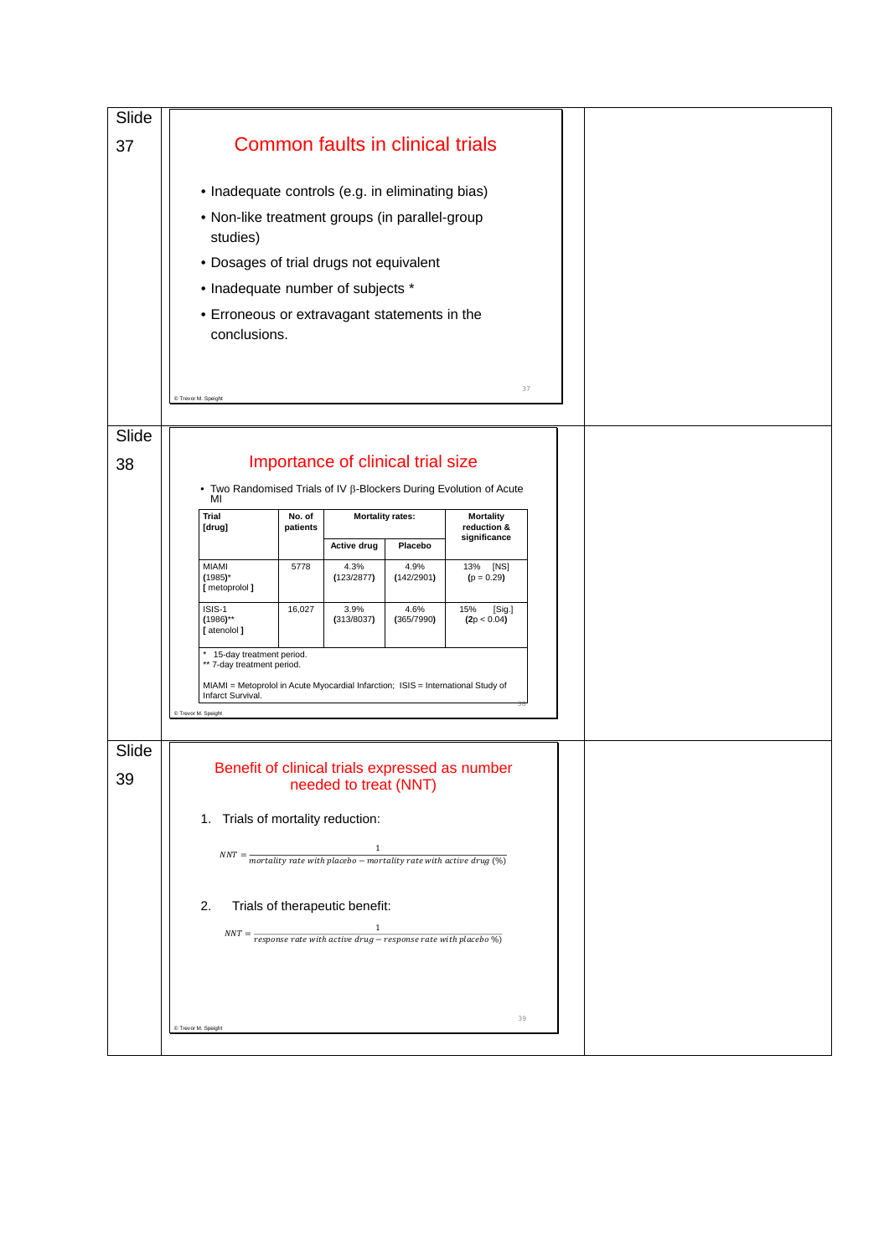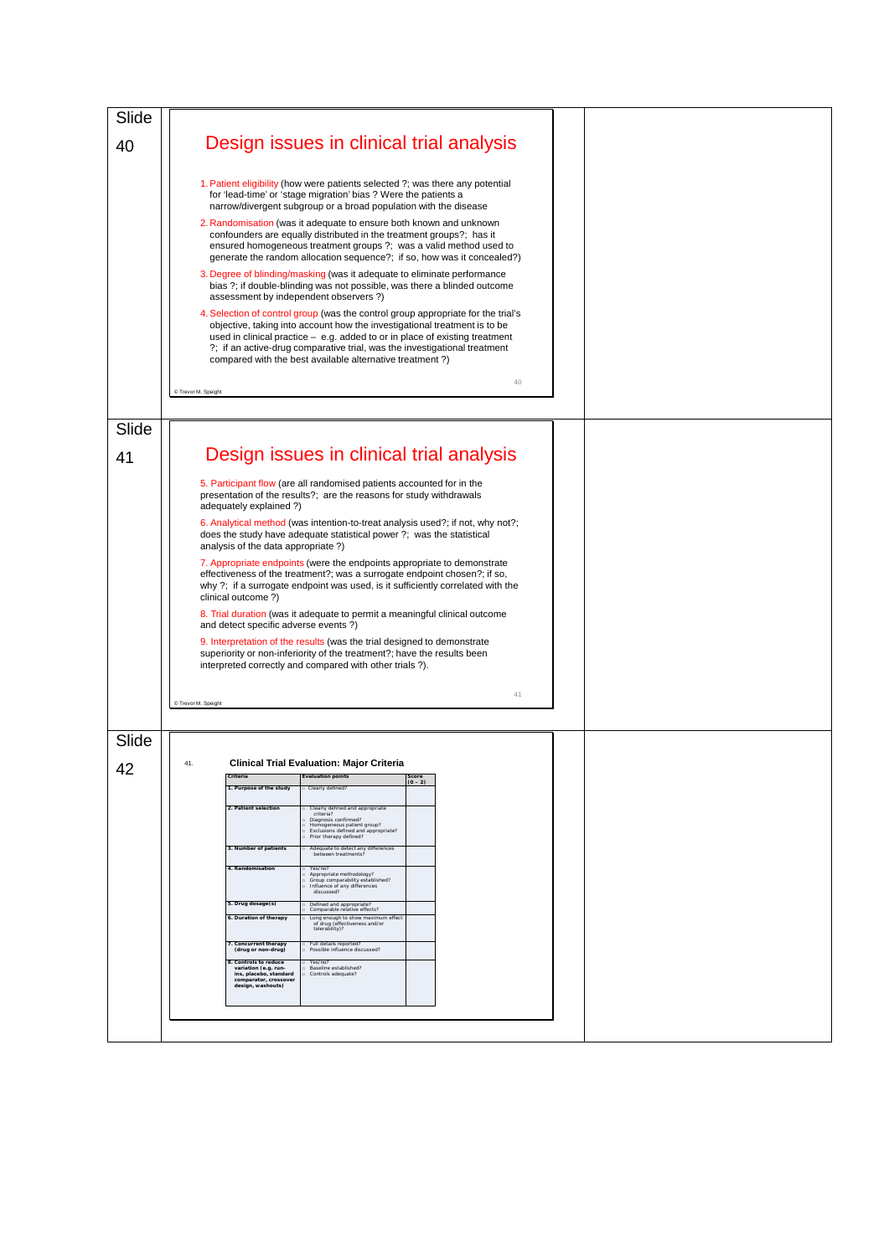| Slide |                     |                                                                                                                              |                                                                                                                                                                                                                                                                                                                                                                                       |           |    |  |  |
|-------|---------------------|------------------------------------------------------------------------------------------------------------------------------|---------------------------------------------------------------------------------------------------------------------------------------------------------------------------------------------------------------------------------------------------------------------------------------------------------------------------------------------------------------------------------------|-----------|----|--|--|
| 40    |                     |                                                                                                                              | Design issues in clinical trial analysis                                                                                                                                                                                                                                                                                                                                              |           |    |  |  |
|       |                     |                                                                                                                              | 1. Patient eligibility (how were patients selected ?; was there any potential<br>for 'lead-time' or 'stage migration' bias? Were the patients a<br>narrow/divergent subgroup or a broad population with the disease                                                                                                                                                                   |           |    |  |  |
|       |                     |                                                                                                                              | 2. Randomisation (was it adequate to ensure both known and unknown<br>confounders are equally distributed in the treatment groups?; has it<br>ensured homogeneous treatment groups ?; was a valid method used to<br>generate the random allocation sequence?; if so, how was it concealed?)                                                                                           |           |    |  |  |
|       |                     |                                                                                                                              | 3. Degree of blinding/masking (was it adequate to eliminate performance<br>bias ?; if double-blinding was not possible, was there a blinded outcome<br>assessment by independent observers?)                                                                                                                                                                                          |           |    |  |  |
|       |                     |                                                                                                                              | 4. Selection of control group (was the control group appropriate for the trial's<br>objective, taking into account how the investigational treatment is to be<br>used in clinical practice - e.g. added to or in place of existing treatment<br>?; if an active-drug comparative trial, was the investigational treatment<br>compared with the best available alternative treatment?) |           |    |  |  |
|       | C Trevor M. Speight |                                                                                                                              |                                                                                                                                                                                                                                                                                                                                                                                       |           | 40 |  |  |
|       |                     |                                                                                                                              |                                                                                                                                                                                                                                                                                                                                                                                       |           |    |  |  |
| Slide |                     |                                                                                                                              |                                                                                                                                                                                                                                                                                                                                                                                       |           |    |  |  |
| 41    |                     |                                                                                                                              | Design issues in clinical trial analysis                                                                                                                                                                                                                                                                                                                                              |           |    |  |  |
|       |                     | adequately explained ?)                                                                                                      | 5. Participant flow (are all randomised patients accounted for in the<br>presentation of the results?; are the reasons for study withdrawals                                                                                                                                                                                                                                          |           |    |  |  |
|       |                     | analysis of the data appropriate?)                                                                                           | 6. Analytical method (was intention-to-treat analysis used?; if not, why not?;<br>does the study have adequate statistical power?; was the statistical                                                                                                                                                                                                                                |           |    |  |  |
|       |                     |                                                                                                                              | 7. Appropriate endpoints (were the endpoints appropriate to demonstrate<br>effectiveness of the treatment?; was a surrogate endpoint chosen?; if so,<br>why ?; if a surrogate endpoint was used, is it sufficiently correlated with the                                                                                                                                               |           |    |  |  |
|       |                     | clinical outcome ?)                                                                                                          |                                                                                                                                                                                                                                                                                                                                                                                       |           |    |  |  |
|       |                     | and detect specific adverse events ?)                                                                                        | 8. Trial duration (was it adequate to permit a meaningful clinical outcome                                                                                                                                                                                                                                                                                                            |           |    |  |  |
|       |                     |                                                                                                                              | 9. Interpretation of the results (was the trial designed to demonstrate<br>superiority or non-inferiority of the treatment?; have the results been<br>interpreted correctly and compared with other trials?).                                                                                                                                                                         |           |    |  |  |
|       |                     |                                                                                                                              |                                                                                                                                                                                                                                                                                                                                                                                       |           | 41 |  |  |
|       | C Trevor M. Speight |                                                                                                                              |                                                                                                                                                                                                                                                                                                                                                                                       |           |    |  |  |
|       |                     |                                                                                                                              |                                                                                                                                                                                                                                                                                                                                                                                       |           |    |  |  |
| Slide |                     |                                                                                                                              |                                                                                                                                                                                                                                                                                                                                                                                       |           |    |  |  |
| 42    | 41.                 | Criteria                                                                                                                     | <b>Clinical Trial Evaluation: Major Criteria</b><br><b>Evaluation points</b>                                                                                                                                                                                                                                                                                                          |           |    |  |  |
|       |                     | 1. Purpose of the study                                                                                                      | Clearly defined?                                                                                                                                                                                                                                                                                                                                                                      | $(0 - 2)$ |    |  |  |
|       |                     | 2. Patient selection                                                                                                         | Clearly defined and appropriate<br>criteria?<br>Diagnosis confirmed?<br>Homogeneous patient group?<br>Exclusions defined and appropriate?<br>Prior therapy defined?                                                                                                                                                                                                                   |           |    |  |  |
|       |                     | 3. Number of patients                                                                                                        | Adequate to detect any differences<br>between treatments?                                                                                                                                                                                                                                                                                                                             |           |    |  |  |
|       |                     | 4. Randomisation                                                                                                             | Yes/no?<br>Appropriate methodology?<br>Group comparability established?<br>Influence of any differences<br>Chezzussib                                                                                                                                                                                                                                                                 |           |    |  |  |
|       |                     | 5. Drug dosage(s)<br>6. Duration of therapy                                                                                  | Defined and appropriate?<br>Comparable relative effects?<br>Long enough to show maximum effect                                                                                                                                                                                                                                                                                        |           |    |  |  |
|       |                     |                                                                                                                              | of drug (effectiveness and/or<br>tolerability)?                                                                                                                                                                                                                                                                                                                                       |           |    |  |  |
|       |                     | Concurrent therapy<br>(drug or non-drug)                                                                                     | Full details reported?<br>Possible influence discussed?                                                                                                                                                                                                                                                                                                                               |           |    |  |  |
|       |                     | <b>8. Controls to reduce</b><br>variation (e.g. run-<br>ins, placebo, standard<br>comparator, crossover<br>design, washouts) | Yes/no?<br>Baseline established?<br>Controls adequate?                                                                                                                                                                                                                                                                                                                                |           |    |  |  |
|       |                     |                                                                                                                              |                                                                                                                                                                                                                                                                                                                                                                                       |           |    |  |  |
|       |                     |                                                                                                                              |                                                                                                                                                                                                                                                                                                                                                                                       |           |    |  |  |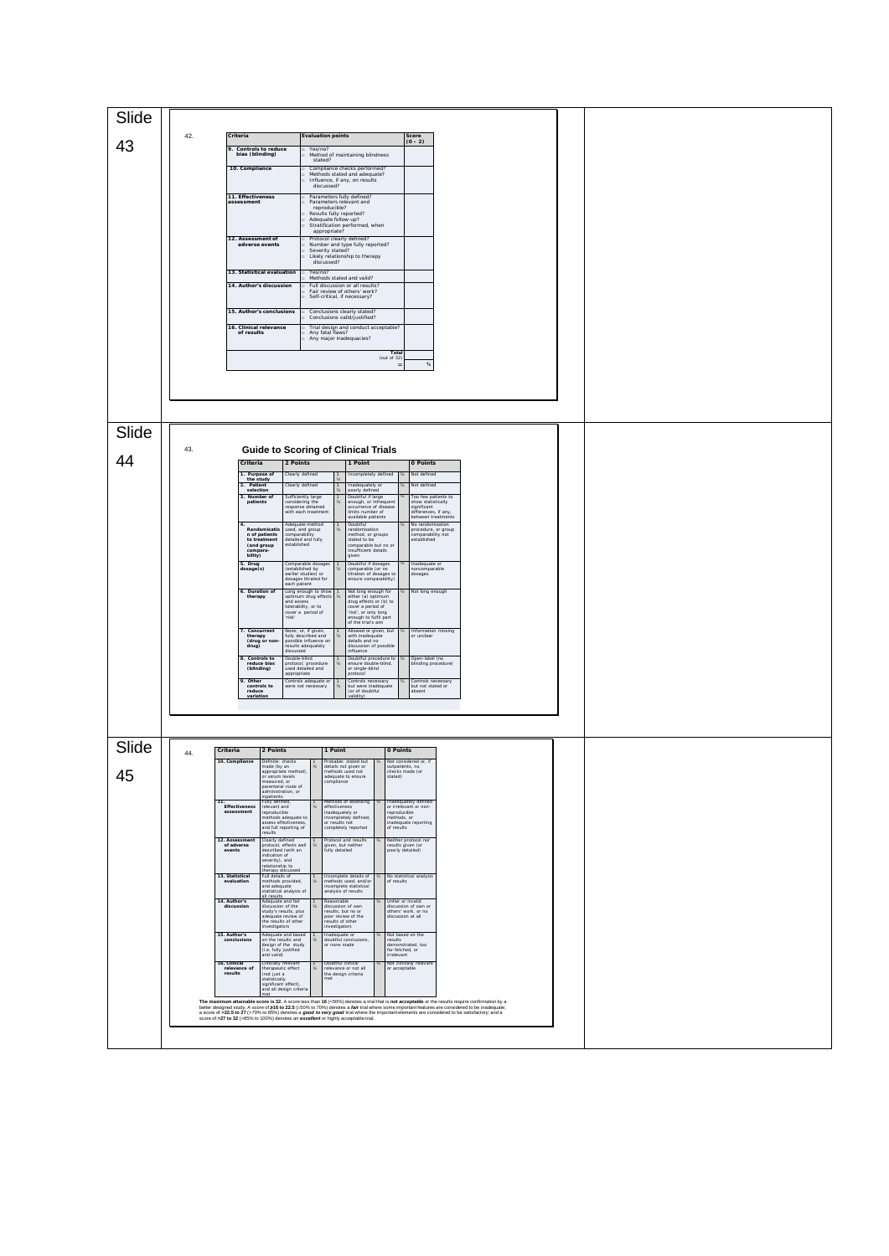| Slide |     |                                                                                                                                             |                                                                                                                                                                                                                                                                                                                                                                                       |                                                                                       |  |  |
|-------|-----|---------------------------------------------------------------------------------------------------------------------------------------------|---------------------------------------------------------------------------------------------------------------------------------------------------------------------------------------------------------------------------------------------------------------------------------------------------------------------------------------------------------------------------------------|---------------------------------------------------------------------------------------|--|--|
|       | 42. | Criteria                                                                                                                                    | <b>Evaluation points</b>                                                                                                                                                                                                                                                                                                                                                              | $\frac{\text{Score}}{(0-2)}$                                                          |  |  |
| 43    |     | 9. Controls to reduce<br>bias (blinding)                                                                                                    | Yes/no?<br>Method of maintaining blindness<br>stated?                                                                                                                                                                                                                                                                                                                                 |                                                                                       |  |  |
|       |     | 10. Compliance                                                                                                                              | Compliance checks performed?<br>Methods stated and adequate?<br>Influence, if any, on results                                                                                                                                                                                                                                                                                         |                                                                                       |  |  |
|       |     | 11. Effectiveness<br>tamppappe                                                                                                              | discussed?<br>Parameters fully defined?<br>Parameters relevant and                                                                                                                                                                                                                                                                                                                    |                                                                                       |  |  |
|       |     |                                                                                                                                             | reproducible?<br>Results fully reported?<br>Adequate follow-up?<br>Stratification performed, when                                                                                                                                                                                                                                                                                     |                                                                                       |  |  |
|       |     | 12. Assessment of<br>adverse events                                                                                                         | appropriate?<br>Protocol clearly defined?<br>Number and type fully reported?                                                                                                                                                                                                                                                                                                          |                                                                                       |  |  |
|       |     |                                                                                                                                             | Severity stated?<br>Likely relationship to therapy<br>discussed?                                                                                                                                                                                                                                                                                                                      |                                                                                       |  |  |
|       |     | 13. Statistical evaluation<br>14. Author's discussion                                                                                       | Yes/no?<br>Methods stated and valid?                                                                                                                                                                                                                                                                                                                                                  |                                                                                       |  |  |
|       |     |                                                                                                                                             | Full discussion or all results?<br>Fair review of others' work?<br>Self-critical, if necessary?                                                                                                                                                                                                                                                                                       |                                                                                       |  |  |
|       |     | 15. Author's conclusions                                                                                                                    | Conclusions clearly stated?<br>Conclusions valid/justified?                                                                                                                                                                                                                                                                                                                           |                                                                                       |  |  |
|       |     | 16. Clinical relevance<br>of results                                                                                                        | Trial design and conduct acceptable?<br>Any fatal flaws?<br>Any major inadequacies?                                                                                                                                                                                                                                                                                                   |                                                                                       |  |  |
|       |     |                                                                                                                                             | Total<br>(out of $32$ )                                                                                                                                                                                                                                                                                                                                                               | $\%$                                                                                  |  |  |
|       |     |                                                                                                                                             |                                                                                                                                                                                                                                                                                                                                                                                       |                                                                                       |  |  |
|       |     |                                                                                                                                             |                                                                                                                                                                                                                                                                                                                                                                                       |                                                                                       |  |  |
|       |     |                                                                                                                                             |                                                                                                                                                                                                                                                                                                                                                                                       |                                                                                       |  |  |
| Slide | 43. |                                                                                                                                             |                                                                                                                                                                                                                                                                                                                                                                                       |                                                                                       |  |  |
| 44    |     | 2 Points<br>Criteria                                                                                                                        | <b>Guide to Scoring of Clinical Trials</b><br>1 Point                                                                                                                                                                                                                                                                                                                                 | 0 Points                                                                              |  |  |
|       |     | 1. Purpose of<br>the study<br>2. Patient<br>selection                                                                                       | Clearly defined<br>ncompletely defined<br>learly defined<br>Inadequately or<br>poorly defined                                                                                                                                                                                                                                                                                         | Not defined<br>Vot defined                                                            |  |  |
|       |     | 3. Number of<br>patients                                                                                                                    | Sufficiently large<br>considering the<br>Doubtful if large<br>enough, or infrequent<br>response obtained<br>with each treatmen<br>occurrence of disease                                                                                                                                                                                                                               | Too few patients to<br>show statistically<br>significant<br>differences, if any,      |  |  |
|       |     | Randomisation<br>n of patients                                                                                                              | available patients<br>Adequate method<br>Doubtful<br>nuequate method<br>used, and group<br>comparability<br>oouotrui<br>randomisation<br>method, or groups                                                                                                                                                                                                                            | between treatments<br>No randomisation                                                |  |  |
|       |     | to treatment<br>(and group<br>compara-                                                                                                      | detailed and fully<br>stated to be<br>stated to be<br>comparable but no or<br>insufficient details<br>established                                                                                                                                                                                                                                                                     | procedure, or group<br>comparability not<br>established                               |  |  |
|       |     | bility)<br>5. Drug<br>dosage(s)                                                                                                             | given<br>Comparable dosage<br>(established by<br>Doubtful if dosages<br>comparable (or no                                                                                                                                                                                                                                                                                             | Inadequate or<br>noncomparable                                                        |  |  |
|       |     | 6. Duration of                                                                                                                              | arlier studies) or<br>titration of dosages to<br>ensure comparability)<br>dosages titrated for<br>each patient                                                                                                                                                                                                                                                                        | dosages                                                                               |  |  |
|       |     | therapy                                                                                                                                     | Long enough to show<br>optimum drug effects<br>and assess<br>tolerability, or to<br>Not long enough for<br>either (a) optimum<br>drug effects or (b) to<br>cover a period of                                                                                                                                                                                                          | Not long enough                                                                       |  |  |
|       |     | . Concurrent                                                                                                                                | cover a period of<br>'risk'<br>'risk', or only long<br>enough to fulfil part<br>of the trial's aim<br>Allowed or given, but<br>None; or, if given,                                                                                                                                                                                                                                    | Information missing                                                                   |  |  |
|       |     | therapy<br>(drug or non-<br>drug)<br>liscussed                                                                                              | fully described and<br>with inadequate<br>possible influence on<br>details and no<br>esults adequately<br>discussion of possible<br>nfluence                                                                                                                                                                                                                                          | or unclear                                                                            |  |  |
|       |     | 8. Controls to<br>reduce bias<br>(blinding)                                                                                                 | Double-blind<br>Doubtful procedure to<br>protocol; procedure<br>used detailed and<br>ensure double-blind,<br>or single-blind<br>appropriate<br>protocol                                                                                                                                                                                                                               | Open-label (no<br>blinding procedure)                                                 |  |  |
|       |     | 9. Other<br>controls to<br>reduce                                                                                                           | Controls adequate or<br>Controls necessary<br>but were inadequate<br>(or of doubtful<br>ere not necessary                                                                                                                                                                                                                                                                             | Controls necessary<br>but not stated or<br>absent                                     |  |  |
|       |     | variation                                                                                                                                   | validity)                                                                                                                                                                                                                                                                                                                                                                             |                                                                                       |  |  |
|       |     |                                                                                                                                             |                                                                                                                                                                                                                                                                                                                                                                                       |                                                                                       |  |  |
| Slide | 44. | Criteria<br>2 Points                                                                                                                        | 1 Point                                                                                                                                                                                                                                                                                                                                                                               | 0 Points                                                                              |  |  |
| 45    |     | 10. Compliance<br>Definite: checks<br>made (by an<br>appropriate method)<br>or serum levels                                                 | Probable: stated but<br>$y_2$<br>$\mathcal{Y}_2$<br>letails not given or<br>nethods used not<br>adequate to ensure<br>stated)                                                                                                                                                                                                                                                         | Not considered or, if<br>outpatients, no<br>hecks made (or                            |  |  |
|       |     | measured, or<br>parenteral route of<br>administration, or                                                                                   | compliance                                                                                                                                                                                                                                                                                                                                                                            |                                                                                       |  |  |
|       | 11. | inpatients<br>Fully defined,<br>relevant and<br>reproducible<br>Effectiveness<br>assessment<br>methods adequate to                          | Methods of assessing<br>effectiveness<br>inadequately or                                                                                                                                                                                                                                                                                                                              | Inadequately defined<br>or irrelevant or non-<br>reproducible<br>methods or           |  |  |
|       |     | assess effectiveness<br>and full reporting of<br>results                                                                                    | incompletely defined,<br>or results not<br>completely reported                                                                                                                                                                                                                                                                                                                        | inadequate reporting<br>of results                                                    |  |  |
|       |     | 12. Assessment<br>of adverse<br>Clearly defined<br>protocol, effects well<br>events<br>described (with an<br>ndication of                   | Protocol and results<br>given, but neither<br>$\frac{1}{2}$<br>fully detailed                                                                                                                                                                                                                                                                                                         | Neither protocol nor<br>results given (or<br>poorly detailed)                         |  |  |
|       |     | inuication or<br>severity), and<br>relationship to<br>therapy discussed<br>Full details of<br>13. Statistical<br>evaluation                 | Incomplete details of<br>of results                                                                                                                                                                                                                                                                                                                                                   | No statistical analysis                                                               |  |  |
|       |     | nethods provided,<br>and adequate<br>statistical analysis of<br>all results                                                                 | $\mathcal{Y}_2$<br>nethods used, and/or<br>incomplete statistical<br>nalysis of results                                                                                                                                                                                                                                                                                               |                                                                                       |  |  |
|       |     | 14. Author's<br>Adequate and fair<br>discussion of the<br>discussion<br>study's results, plus<br>adequate review of<br>the results of other | Reasonable<br>discussion of own<br>y,<br>results, but no or<br>poor review of the<br>results of other                                                                                                                                                                                                                                                                                 | Unfair or invalid<br>discussion of own or<br>others' work, or no<br>discussion at all |  |  |
|       |     | nvestigators<br>15. Author's<br>Adequate and based<br>conclusions<br>on the results and                                                     | nvestigators<br>nadequate or<br>doubtful conclusions,<br>results<br>y,                                                                                                                                                                                                                                                                                                                | Not based on the                                                                      |  |  |
|       |     | design of the study<br>(i.e. fully justified<br>and valid)                                                                                  | x none made                                                                                                                                                                                                                                                                                                                                                                           | demonstrated, too<br>far-fetched, or<br>rrelevant                                     |  |  |
|       |     | 16. Clinical<br>relevance of<br>Clinically relevan<br>herapeutic effect<br>(not just a<br>results                                           | Doubtful clinical<br>relevance or not all<br>y,<br>the design criteria<br>met                                                                                                                                                                                                                                                                                                         | Not clinically relevant<br>or acceptable                                              |  |  |
|       |     | statistically<br>significant effect),<br>and all design criteria<br>net                                                                     | The maximum attainable score is 32. A score less than 16 (<50%) denotes a trial that is not acceptable or the results require confirmation by a                                                                                                                                                                                                                                       |                                                                                       |  |  |
|       |     |                                                                                                                                             | better designed study. A score of 216 to 22.5 (≥50% to 70%) denotes a fair trial where some important features are considered to be inadequate:<br>a score of >22.5 to 27 (>70% to 85%) denotes a good to very good trial where the important elements are considered to be satisfactory; and a<br>score of >27 to 32 (>85% to 100%) denotes an excellent or highly acceptable trial. |                                                                                       |  |  |
|       |     |                                                                                                                                             |                                                                                                                                                                                                                                                                                                                                                                                       |                                                                                       |  |  |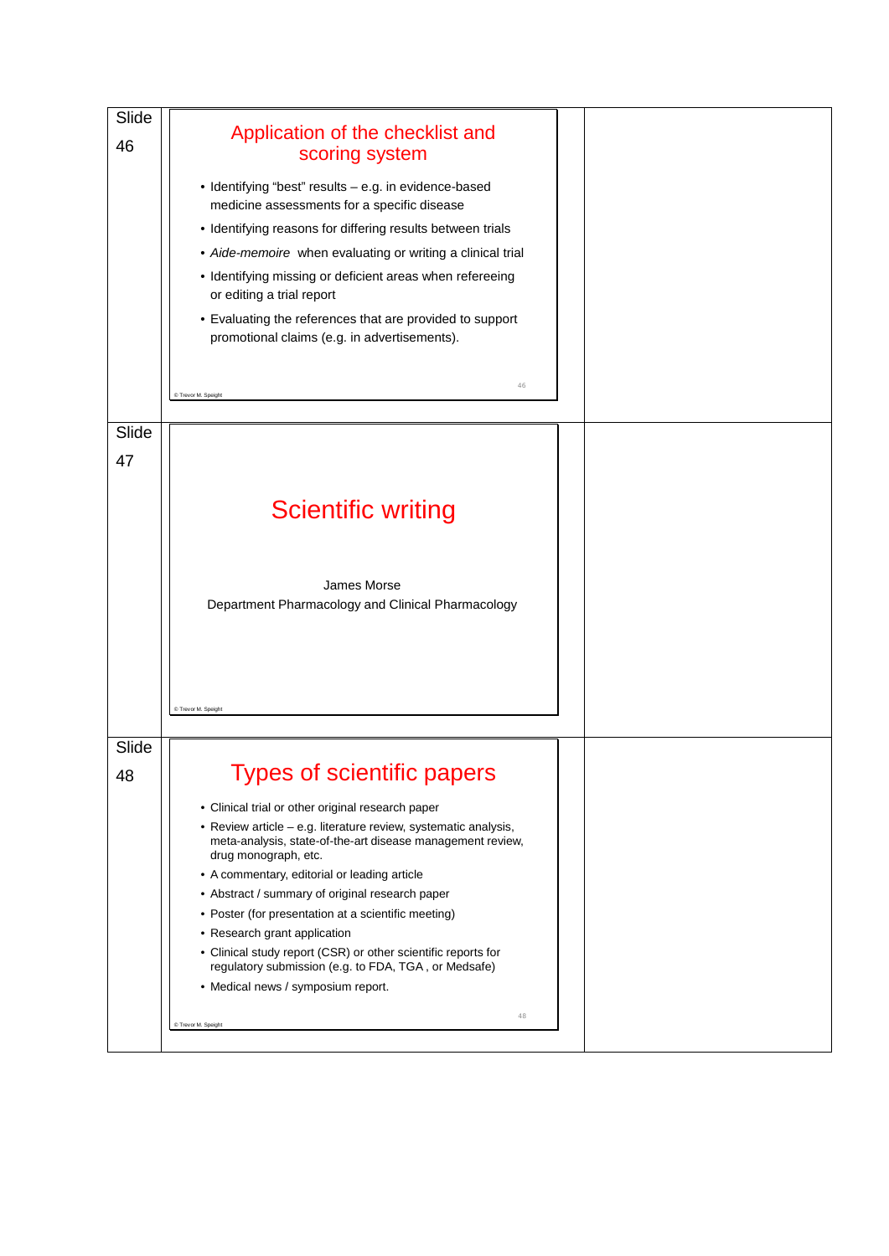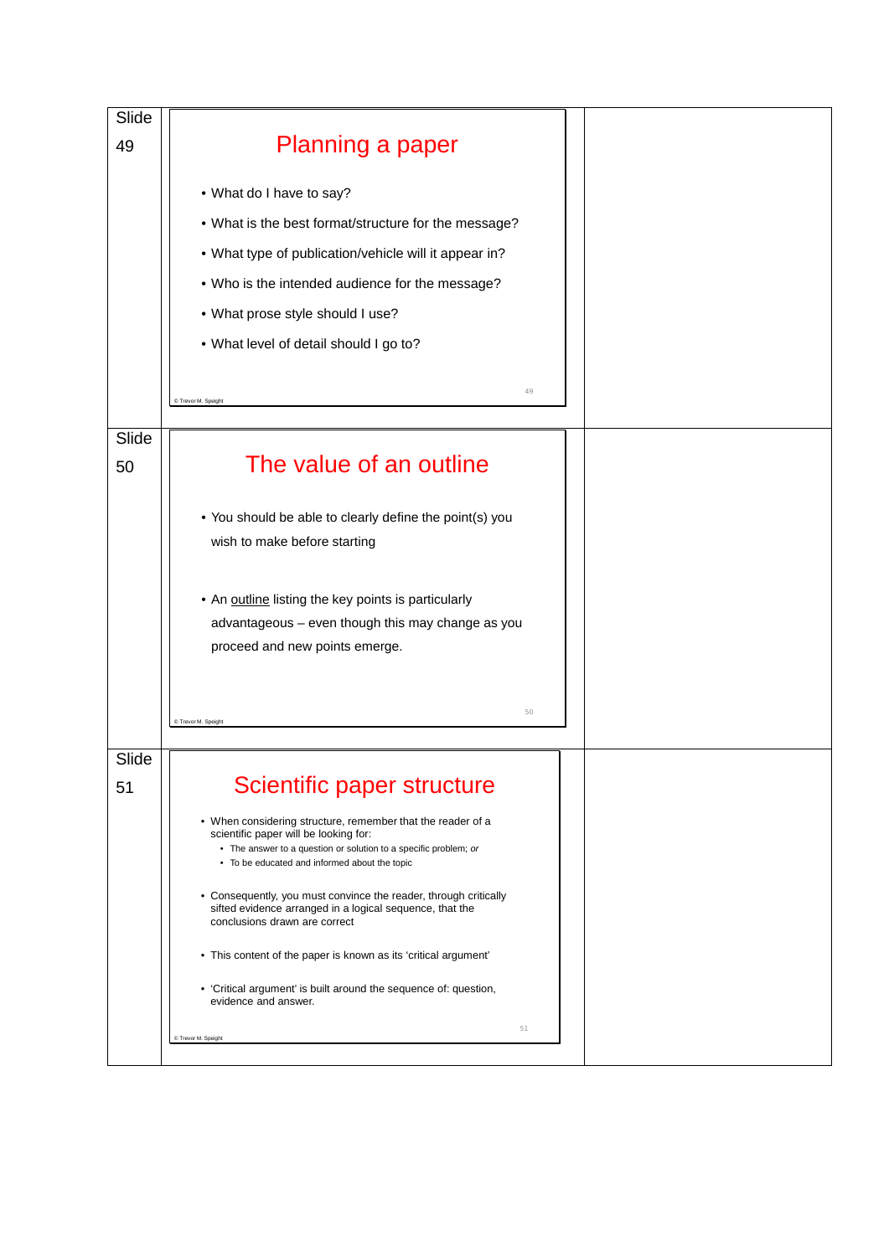| Slide |                                                                                                                              |  |
|-------|------------------------------------------------------------------------------------------------------------------------------|--|
| 49    | Planning a paper                                                                                                             |  |
|       |                                                                                                                              |  |
|       | • What do I have to say?                                                                                                     |  |
|       | . What is the best format/structure for the message?                                                                         |  |
|       | • What type of publication/vehicle will it appear in?                                                                        |  |
|       | . Who is the intended audience for the message?                                                                              |  |
|       | • What prose style should I use?                                                                                             |  |
|       | • What level of detail should I go to?                                                                                       |  |
|       |                                                                                                                              |  |
|       | 49<br>C Trevor M. Speight                                                                                                    |  |
| Slide |                                                                                                                              |  |
| 50    | The value of an outline                                                                                                      |  |
|       |                                                                                                                              |  |
|       | • You should be able to clearly define the point(s) you                                                                      |  |
|       | wish to make before starting                                                                                                 |  |
|       |                                                                                                                              |  |
|       | • An outline listing the key points is particularly                                                                          |  |
|       | advantageous - even though this may change as you                                                                            |  |
|       | proceed and new points emerge.                                                                                               |  |
|       |                                                                                                                              |  |
|       | 50<br>C Trevor M. Speight                                                                                                    |  |
|       |                                                                                                                              |  |
| Slide |                                                                                                                              |  |
| 51    | Scientific paper structure                                                                                                   |  |
|       | • When considering structure, remember that the reader of a<br>scientific paper will be looking for:                         |  |
|       | • The answer to a question or solution to a specific problem; or<br>• To be educated and informed about the topic            |  |
|       |                                                                                                                              |  |
|       | • Consequently, you must convince the reader, through critically<br>sifted evidence arranged in a logical sequence, that the |  |
|       | conclusions drawn are correct                                                                                                |  |
|       | • This content of the paper is known as its 'critical argument'                                                              |  |
|       | • 'Critical argument' is built around the sequence of: question,<br>evidence and answer.                                     |  |
|       | 51<br>C Trevor M. Speight                                                                                                    |  |
|       |                                                                                                                              |  |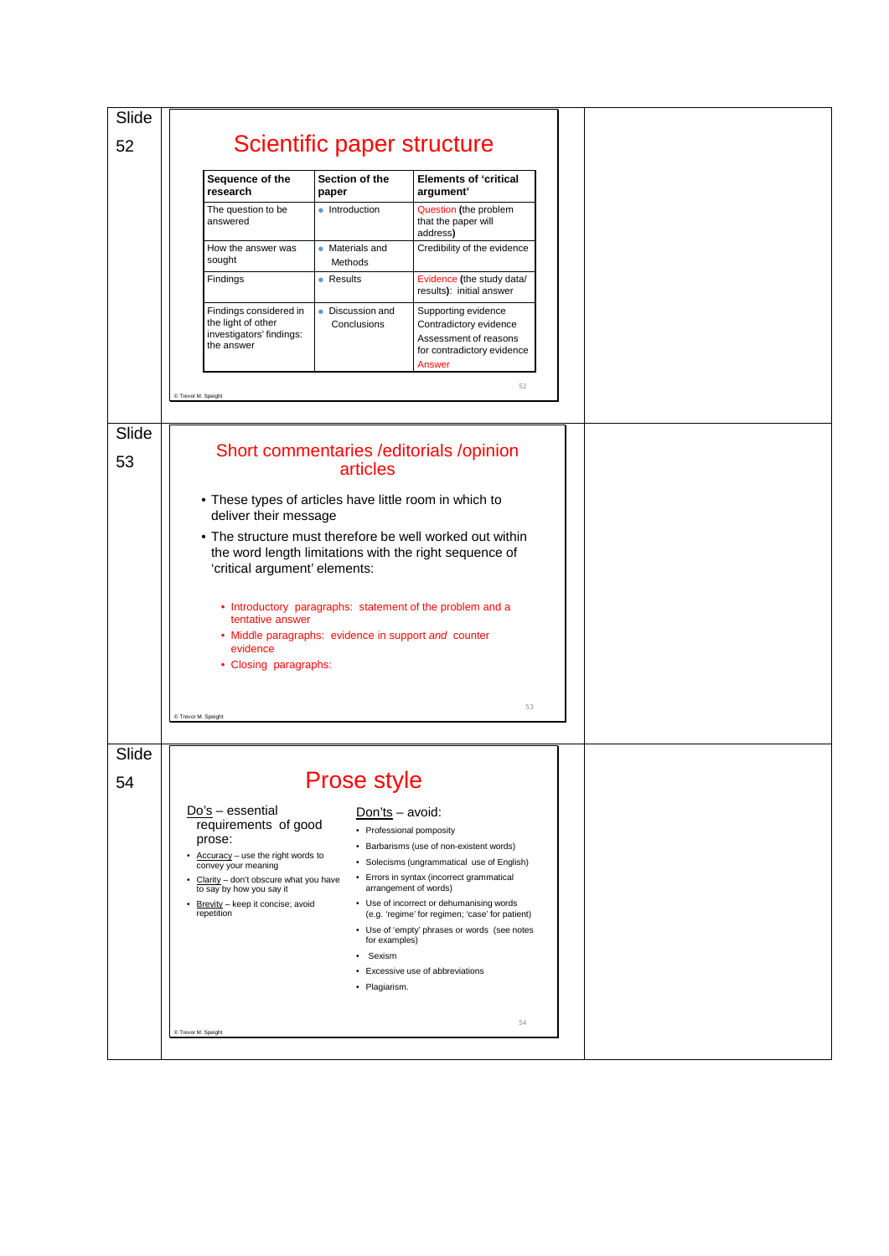| Slide       |                                                                                                                                                                                                                                         |                                                             |                                                                                                                                                                                                                                                                                                                                                                             |  |  |  |
|-------------|-----------------------------------------------------------------------------------------------------------------------------------------------------------------------------------------------------------------------------------------|-------------------------------------------------------------|-----------------------------------------------------------------------------------------------------------------------------------------------------------------------------------------------------------------------------------------------------------------------------------------------------------------------------------------------------------------------------|--|--|--|
| 52          |                                                                                                                                                                                                                                         | Scientific paper structure                                  |                                                                                                                                                                                                                                                                                                                                                                             |  |  |  |
|             | Sequence of the<br>research                                                                                                                                                                                                             | Section of the<br>paper                                     | <b>Elements of 'critical</b><br>argument'                                                                                                                                                                                                                                                                                                                                   |  |  |  |
|             | The question to be<br>answered                                                                                                                                                                                                          | • Introduction                                              | Question (the problem<br>that the paper will<br>address)                                                                                                                                                                                                                                                                                                                    |  |  |  |
|             | How the answer was<br>sought                                                                                                                                                                                                            | • Materials and<br>Methods                                  | Credibility of the evidence                                                                                                                                                                                                                                                                                                                                                 |  |  |  |
|             | Findings                                                                                                                                                                                                                                | • Results                                                   | Evidence (the study data/<br>results): initial answer                                                                                                                                                                                                                                                                                                                       |  |  |  |
|             | Findings considered in<br>the light of other<br>investigators' findings:<br>the answer                                                                                                                                                  | • Discussion and<br>Conclusions                             | Supporting evidence<br>Contradictory evidence<br>Assessment of reasons<br>for contradictory evidence<br>Answer                                                                                                                                                                                                                                                              |  |  |  |
|             | C Trevor M. Speight                                                                                                                                                                                                                     |                                                             | 52                                                                                                                                                                                                                                                                                                                                                                          |  |  |  |
|             |                                                                                                                                                                                                                                         |                                                             |                                                                                                                                                                                                                                                                                                                                                                             |  |  |  |
| Slide<br>53 |                                                                                                                                                                                                                                         | articles                                                    | Short commentaries / editorials / opinion                                                                                                                                                                                                                                                                                                                                   |  |  |  |
|             | • These types of articles have little room in which to<br>deliver their message                                                                                                                                                         |                                                             |                                                                                                                                                                                                                                                                                                                                                                             |  |  |  |
|             | 'critical argument' elements:                                                                                                                                                                                                           |                                                             | • The structure must therefore be well worked out within<br>the word length limitations with the right sequence of                                                                                                                                                                                                                                                          |  |  |  |
|             | tentative answer<br>evidence                                                                                                                                                                                                            | • Middle paragraphs: evidence in support and counter        | • Introductory paragraphs: statement of the problem and a                                                                                                                                                                                                                                                                                                                   |  |  |  |
|             | • Closing paragraphs:                                                                                                                                                                                                                   |                                                             |                                                                                                                                                                                                                                                                                                                                                                             |  |  |  |
|             | C Trevor M. Speight                                                                                                                                                                                                                     |                                                             | 53                                                                                                                                                                                                                                                                                                                                                                          |  |  |  |
| Slide       |                                                                                                                                                                                                                                         |                                                             |                                                                                                                                                                                                                                                                                                                                                                             |  |  |  |
| 54          |                                                                                                                                                                                                                                         | <b>Prose style</b>                                          |                                                                                                                                                                                                                                                                                                                                                                             |  |  |  |
|             | $Do's - essential$<br>requirements of good<br>prose:<br>Accuracy - use the right words to<br>convey your meaning<br>Clarity - don't obscure what you have<br>to say by how you say it<br>Brevity - keep it concise; avoid<br>repetition | Don'ts - avoid:<br>for examples)<br>Sexism<br>• Plagiarism. | • Professional pomposity<br>• Barbarisms (use of non-existent words)<br>• Solecisms (ungrammatical use of English)<br>• Errors in syntax (incorrect grammatical<br>arrangement of words)<br>• Use of incorrect or dehumanising words<br>(e.g. 'regime' for regimen; 'case' for patient)<br>• Use of 'empty' phrases or words (see notes<br>• Excessive use of abbreviations |  |  |  |
|             | C Trevor M. Speight                                                                                                                                                                                                                     |                                                             | 54                                                                                                                                                                                                                                                                                                                                                                          |  |  |  |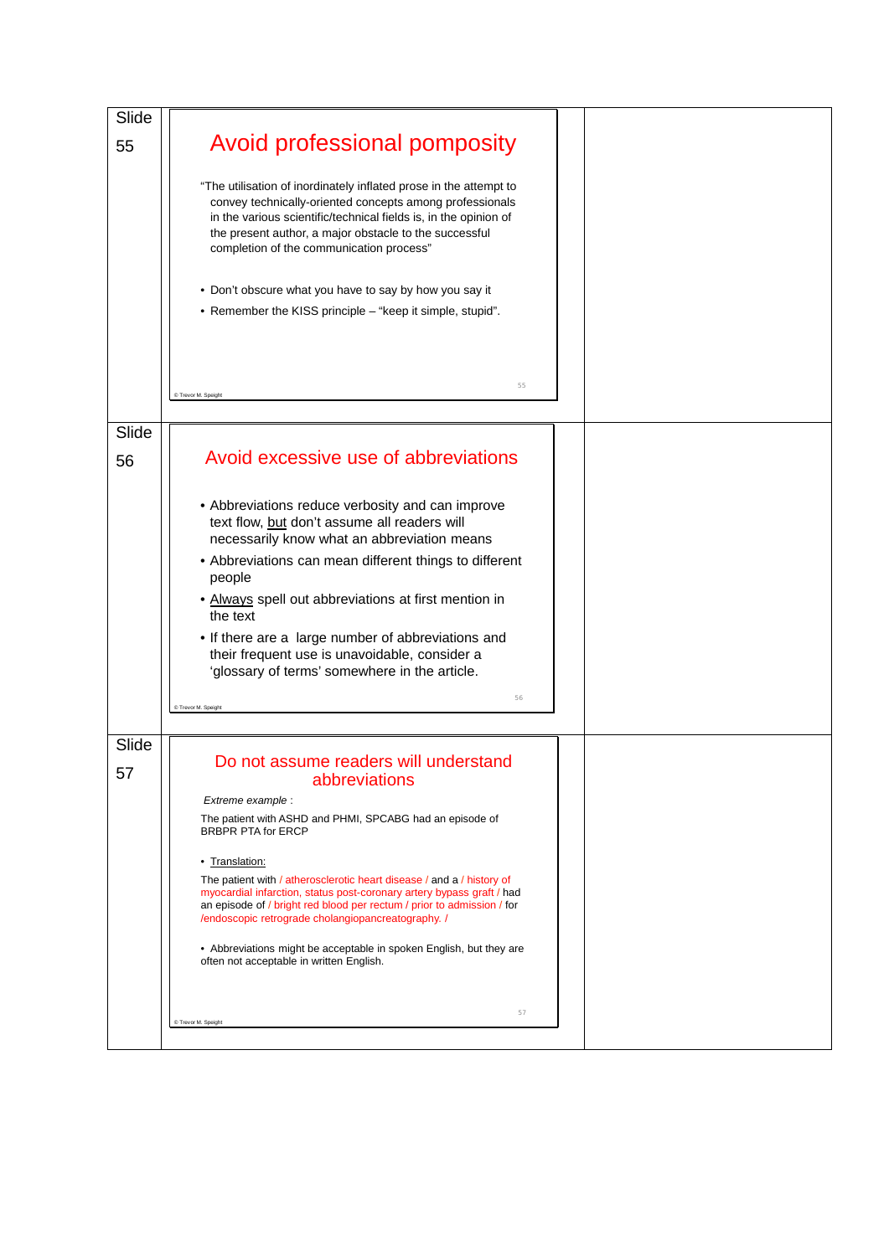| Slide |                                                                                                                                                                                                                                                                                                         |  |  |
|-------|---------------------------------------------------------------------------------------------------------------------------------------------------------------------------------------------------------------------------------------------------------------------------------------------------------|--|--|
| 55    | Avoid professional pomposity                                                                                                                                                                                                                                                                            |  |  |
|       | "The utilisation of inordinately inflated prose in the attempt to<br>convey technically-oriented concepts among professionals<br>in the various scientific/technical fields is, in the opinion of<br>the present author, a major obstacle to the successful<br>completion of the communication process" |  |  |
|       | • Don't obscure what you have to say by how you say it<br>• Remember the KISS principle - "keep it simple, stupid".                                                                                                                                                                                     |  |  |
|       |                                                                                                                                                                                                                                                                                                         |  |  |
|       | 55<br>C Trevor M. Speight                                                                                                                                                                                                                                                                               |  |  |
| Slide |                                                                                                                                                                                                                                                                                                         |  |  |
| 56    | Avoid excessive use of abbreviations                                                                                                                                                                                                                                                                    |  |  |
|       | • Abbreviations reduce verbosity and can improve<br>text flow, but don't assume all readers will<br>necessarily know what an abbreviation means                                                                                                                                                         |  |  |
|       | • Abbreviations can mean different things to different<br>people                                                                                                                                                                                                                                        |  |  |
|       | • Always spell out abbreviations at first mention in<br>the text                                                                                                                                                                                                                                        |  |  |
|       | • If there are a large number of abbreviations and<br>their frequent use is unavoidable, consider a<br>'glossary of terms' somewhere in the article.                                                                                                                                                    |  |  |
|       | 56<br>C Trevor M. Speigh                                                                                                                                                                                                                                                                                |  |  |
| Slide |                                                                                                                                                                                                                                                                                                         |  |  |
| 57    | Do not assume readers will understand<br>abbreviations                                                                                                                                                                                                                                                  |  |  |
|       | Extreme example :<br>The patient with ASHD and PHMI, SPCABG had an episode of                                                                                                                                                                                                                           |  |  |
|       | <b>BRBPR PTA for ERCP</b>                                                                                                                                                                                                                                                                               |  |  |
|       | • Translation:                                                                                                                                                                                                                                                                                          |  |  |
|       | The patient with / atherosclerotic heart disease / and a / history of<br>myocardial infarction, status post-coronary artery bypass graft / had<br>an episode of / bright red blood per rectum / prior to admission / for<br>/endoscopic retrograde cholangiopancreatography. /                          |  |  |
|       | • Abbreviations might be acceptable in spoken English, but they are<br>often not acceptable in written English.                                                                                                                                                                                         |  |  |
|       | 57<br>C Trevor M. Speight                                                                                                                                                                                                                                                                               |  |  |
|       |                                                                                                                                                                                                                                                                                                         |  |  |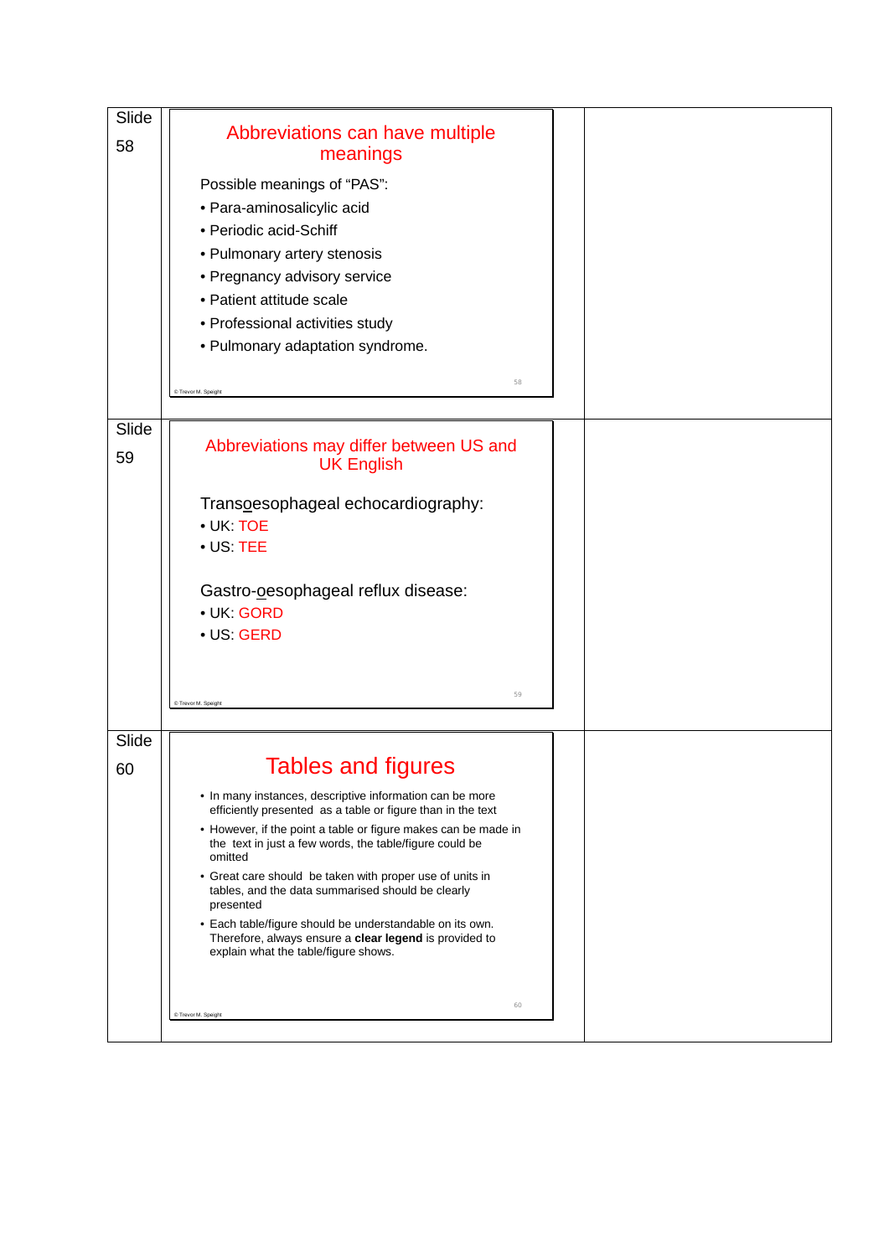| Slide<br>58 | Abbreviations can have multiple<br>meanings<br>Possible meanings of "PAS":<br>· Para-aminosalicylic acid<br>• Periodic acid-Schiff<br>• Pulmonary artery stenosis<br>• Pregnancy advisory service<br>• Patient attitude scale<br>• Professional activities study<br>• Pulmonary adaptation syndrome.                                                                                                                                                                                                                                                                                     |  |
|-------------|------------------------------------------------------------------------------------------------------------------------------------------------------------------------------------------------------------------------------------------------------------------------------------------------------------------------------------------------------------------------------------------------------------------------------------------------------------------------------------------------------------------------------------------------------------------------------------------|--|
|             | 58<br>C Trevor M. Speight                                                                                                                                                                                                                                                                                                                                                                                                                                                                                                                                                                |  |
| Slide<br>59 | Abbreviations may differ between US and<br><b>UK English</b><br>Transoesophageal echocardiography:<br>• UK: TOE<br>$\bullet$ US: TEE<br>Gastro-oesophageal reflux disease:<br>· UK: GORD<br>• US: GERD<br>59<br>C Trevor M. Speight                                                                                                                                                                                                                                                                                                                                                      |  |
| Slide       |                                                                                                                                                                                                                                                                                                                                                                                                                                                                                                                                                                                          |  |
| 60          | <b>Tables and figures</b><br>• In many instances, descriptive information can be more<br>efficiently presented as a table or figure than in the text<br>• However, if the point a table or figure makes can be made in<br>the text in just a few words, the table/figure could be<br>omitted<br>• Great care should be taken with proper use of units in<br>tables, and the data summarised should be clearly<br>presented<br>• Each table/figure should be understandable on its own.<br>Therefore, always ensure a clear legend is provided to<br>explain what the table/figure shows. |  |
|             | 60<br>C Trevor M. Speight                                                                                                                                                                                                                                                                                                                                                                                                                                                                                                                                                                |  |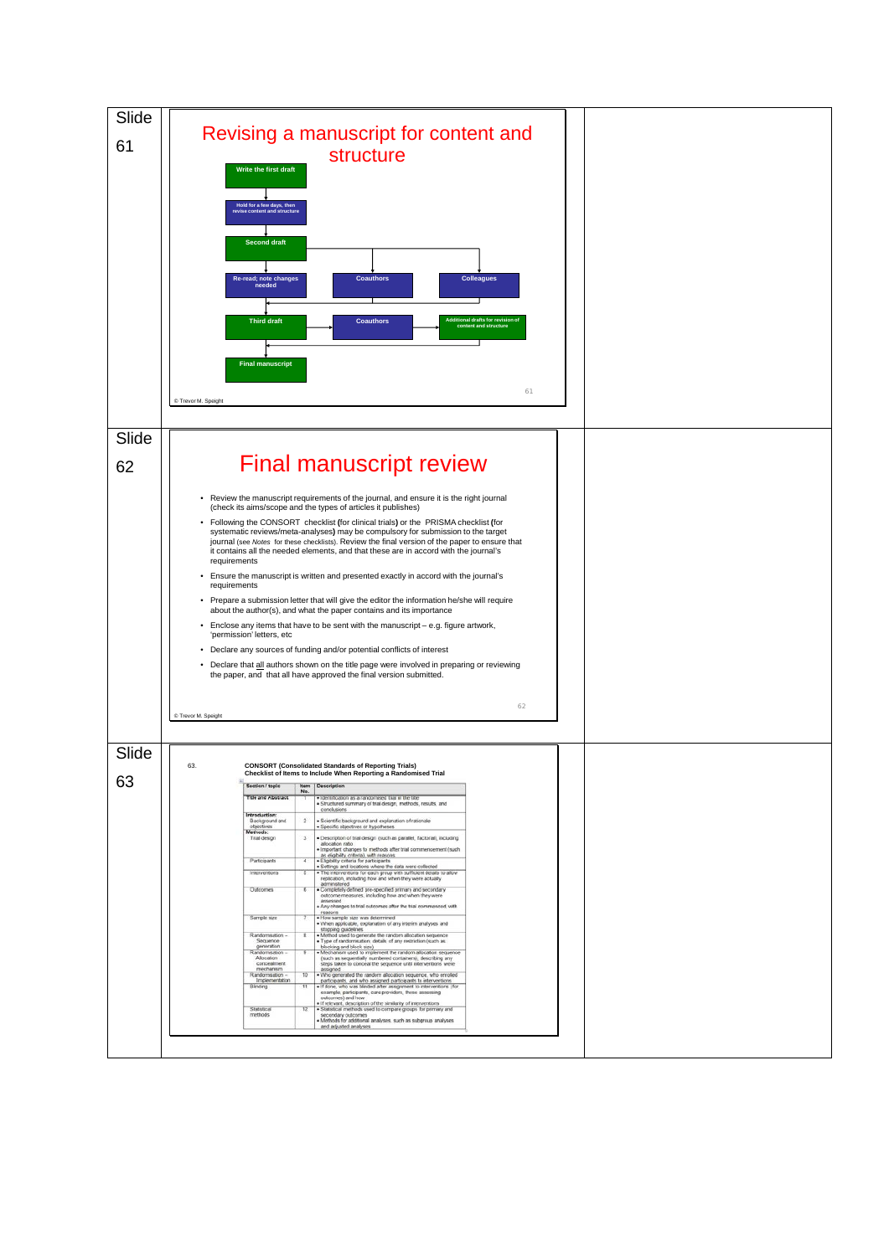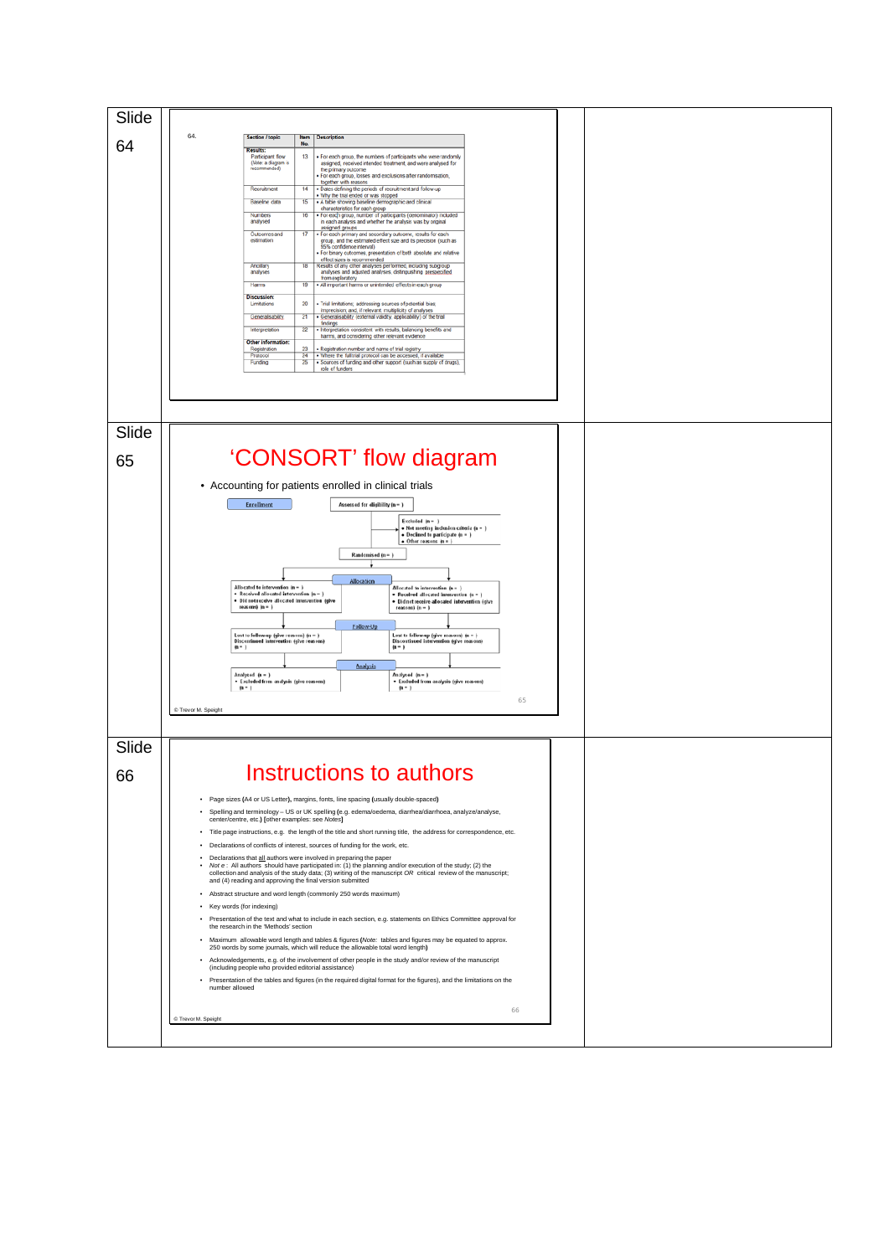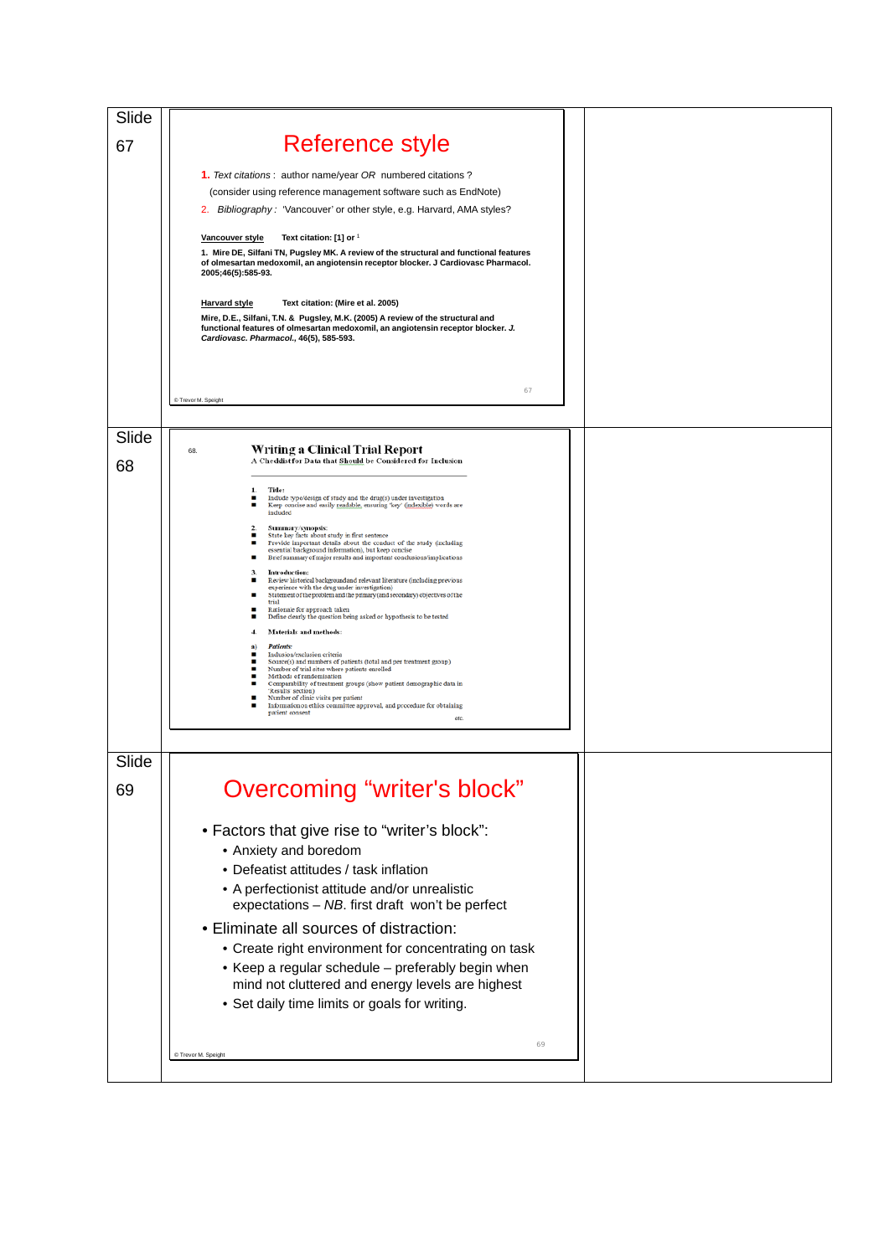| Slide |                                                                                                                                                                                                                                                                             |  |
|-------|-----------------------------------------------------------------------------------------------------------------------------------------------------------------------------------------------------------------------------------------------------------------------------|--|
| 67    | Reference style                                                                                                                                                                                                                                                             |  |
|       | 1. Text citations: author name/year OR numbered citations?                                                                                                                                                                                                                  |  |
|       | (consider using reference management software such as EndNote)                                                                                                                                                                                                              |  |
|       | 2. Bibliography: 'Vancouver' or other style, e.g. Harvard, AMA styles?                                                                                                                                                                                                      |  |
|       | Vancouver style<br>Text citation: [1] or 1<br>1. Mire DE, Silfani TN, Pugsley MK. A review of the structural and functional features<br>of olmesartan medoxomil, an angiotensin receptor blocker. J Cardiovasc Pharmacol.<br>2005;46(5):585-93.                             |  |
|       | <b>Harvard style</b><br>Text citation: (Mire et al. 2005)<br>Mire, D.E., Silfani, T.N. & Pugsley, M.K. (2005) A review of the structural and<br>functional features of olmesartan medoxomil, an angiotensin receptor blocker. J.<br>Cardiovasc. Pharmacol., 46(5), 585-593. |  |
|       | 67<br>C Trevor M. Speight                                                                                                                                                                                                                                                   |  |
| Slide |                                                                                                                                                                                                                                                                             |  |
| 68    | <b>Writing a Clinical Trial Report</b><br>68.<br>A Checklist for Data that Should be Considered for Inclusion                                                                                                                                                               |  |
|       | Title:<br>1.<br>Include type/design of study and the drug(s) under investigation<br>Keep concise and easily readable, ensuring 'key' (indexible) words are<br>included                                                                                                      |  |
|       | $\mathbf{2}$<br>Summary/synopsis:<br>State key facts about study in first sentence                                                                                                                                                                                          |  |
|       | ٠<br>Provide important details about the conduct of the study (including<br>essential background information), but keep concise<br>Brief summary of major results and important conclusions/implications                                                                    |  |
|       | Introduction:<br>з.<br>Review historical background and relevant literature (including previous<br>٠                                                                                                                                                                        |  |
|       | experience with the drug under investigation)<br>Statement of the problem and the primary (and secondary) objectives of the<br>trial                                                                                                                                        |  |
|       | Rationale for approach taken<br>Define clearly the question being asked or hypothesis to be tested                                                                                                                                                                          |  |
|       | Materials and methods:<br>4.<br><b>Patients:</b><br>a)                                                                                                                                                                                                                      |  |
|       | Inclusion/exclusion criteria<br>٠<br>Source(s) and numbers of patients (total and per treatment group)                                                                                                                                                                      |  |
|       | Number of trial sites where patients enrolled<br>٠<br>Methods of randomisation<br>Comparability of treatment groups (show patient demographic data in                                                                                                                       |  |
|       | 'Results' section)<br>Number of clinic visits per patient<br>Information on ethics committee approval, and procedure for obtaining                                                                                                                                          |  |
|       | patient consent<br>etc.                                                                                                                                                                                                                                                     |  |
|       |                                                                                                                                                                                                                                                                             |  |
| Slide |                                                                                                                                                                                                                                                                             |  |
| 69    | Overcoming "writer's block"                                                                                                                                                                                                                                                 |  |
|       | • Factors that give rise to "writer's block":                                                                                                                                                                                                                               |  |
|       | • Anxiety and boredom                                                                                                                                                                                                                                                       |  |
|       | • Defeatist attitudes / task inflation                                                                                                                                                                                                                                      |  |
|       | • A perfectionist attitude and/or unrealistic                                                                                                                                                                                                                               |  |
|       | expectations - NB. first draft won't be perfect                                                                                                                                                                                                                             |  |
|       | • Eliminate all sources of distraction:                                                                                                                                                                                                                                     |  |
|       | • Create right environment for concentrating on task<br>• Keep a regular schedule - preferably begin when                                                                                                                                                                   |  |
|       | mind not cluttered and energy levels are highest                                                                                                                                                                                                                            |  |
|       | • Set daily time limits or goals for writing.                                                                                                                                                                                                                               |  |
|       |                                                                                                                                                                                                                                                                             |  |
|       | 69<br>C Trevor M. Speight                                                                                                                                                                                                                                                   |  |
|       |                                                                                                                                                                                                                                                                             |  |